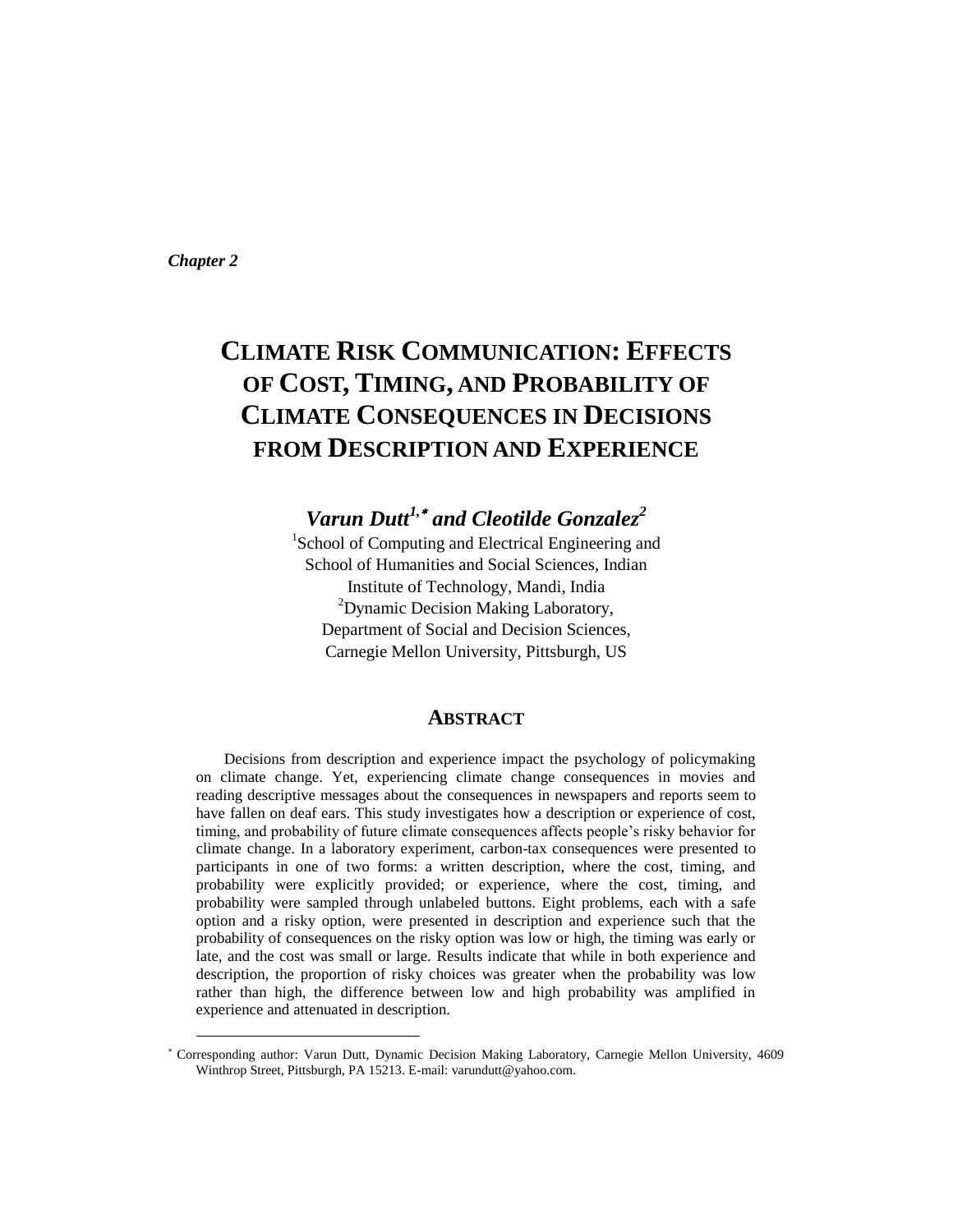*Chapter 2*

 $\overline{a}$ 

# **CLIMATE RISK COMMUNICATION: EFFECTS OF COST, TIMING, AND PROBABILITY OF CLIMATE CONSEQUENCES IN DECISIONS FROM DESCRIPTION AND EXPERIENCE**

 $Varun Dutt<sup>1,*</sup>$  and Cleotilde Gonzalez<sup>2</sup>

<sup>1</sup>School of Computing and Electrical Engineering and School of Humanities and Social Sciences, Indian Institute of Technology, Mandi, India <sup>2</sup>Dynamic Decision Making Laboratory, Department of Social and Decision Sciences, Carnegie Mellon University, Pittsburgh, US

# **ABSTRACT**

Decisions from description and experience impact the psychology of policymaking on climate change. Yet, experiencing climate change consequences in movies and reading descriptive messages about the consequences in newspapers and reports seem to have fallen on deaf ears. This study investigates how a description or experience of cost, timing, and probability of future climate consequences affects people's risky behavior for climate change. In a laboratory experiment, carbon-tax consequences were presented to participants in one of two forms: a written description, where the cost, timing, and probability were explicitly provided; or experience, where the cost, timing, and probability were sampled through unlabeled buttons. Eight problems, each with a safe option and a risky option, were presented in description and experience such that the probability of consequences on the risky option was low or high, the timing was early or late, and the cost was small or large. Results indicate that while in both experience and description, the proportion of risky choices was greater when the probability was low rather than high, the difference between low and high probability was amplified in experience and attenuated in description.

Corresponding author: Varun Dutt, Dynamic Decision Making Laboratory, Carnegie Mellon University, 4609 Winthrop Street, Pittsburgh, PA 15213. E-mail: varundutt@yahoo.com.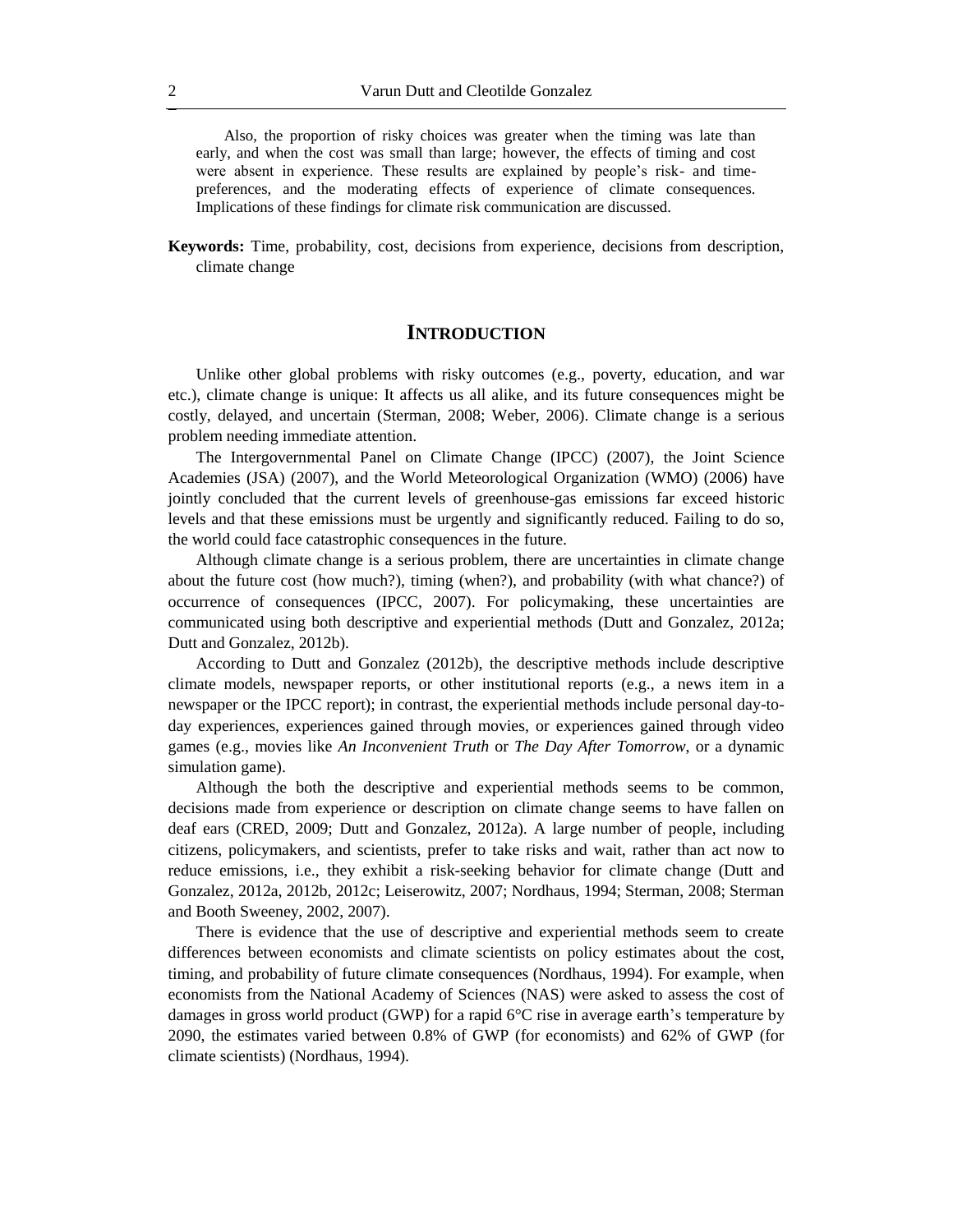Also, the proportion of risky choices was greater when the timing was late than early, and when the cost was small than large; however, the effects of timing and cost were absent in experience. These results are explained by people's risk- and timepreferences, and the moderating effects of experience of climate consequences. Implications of these findings for climate risk communication are discussed.

**Keywords:** Time, probability, cost, decisions from experience, decisions from description, climate change

# **INTRODUCTION**

Unlike other global problems with risky outcomes (e.g., poverty, education, and war etc.), climate change is unique: It affects us all alike, and its future consequences might be costly, delayed, and uncertain (Sterman, 2008; Weber, 2006). Climate change is a serious problem needing immediate attention.

The Intergovernmental Panel on Climate Change (IPCC) (2007), the Joint Science Academies (JSA) (2007), and the World Meteorological Organization (WMO) (2006) have jointly concluded that the current levels of greenhouse-gas emissions far exceed historic levels and that these emissions must be urgently and significantly reduced. Failing to do so, the world could face catastrophic consequences in the future.

Although climate change is a serious problem, there are uncertainties in climate change about the future cost (how much?), timing (when?), and probability (with what chance?) of occurrence of consequences (IPCC, 2007). For policymaking, these uncertainties are communicated using both descriptive and experiential methods (Dutt and Gonzalez, 2012a; Dutt and Gonzalez, 2012b).

According to Dutt and Gonzalez (2012b), the descriptive methods include descriptive climate models, newspaper reports, or other institutional reports (e.g., a news item in a newspaper or the IPCC report); in contrast, the experiential methods include personal day-today experiences, experiences gained through movies, or experiences gained through video games (e.g., movies like *An Inconvenient Truth* or *The Day After Tomorrow*, or a dynamic simulation game).

Although the both the descriptive and experiential methods seems to be common, decisions made from experience or description on climate change seems to have fallen on deaf ears (CRED, 2009; Dutt and Gonzalez, 2012a). A large number of people, including citizens, policymakers, and scientists, prefer to take risks and wait, rather than act now to reduce emissions, i.e., they exhibit a risk-seeking behavior for climate change (Dutt and Gonzalez, 2012a, 2012b, 2012c; Leiserowitz, 2007; Nordhaus, 1994; Sterman, 2008; Sterman and Booth Sweeney, 2002, 2007).

There is evidence that the use of descriptive and experiential methods seem to create differences between economists and climate scientists on policy estimates about the cost, timing, and probability of future climate consequences (Nordhaus, 1994). For example, when economists from the National Academy of Sciences (NAS) were asked to assess the cost of damages in gross world product (GWP) for a rapid  $6^{\circ}$ C rise in average earth's temperature by 2090, the estimates varied between 0.8% of GWP (for economists) and 62% of GWP (for climate scientists) (Nordhaus, 1994).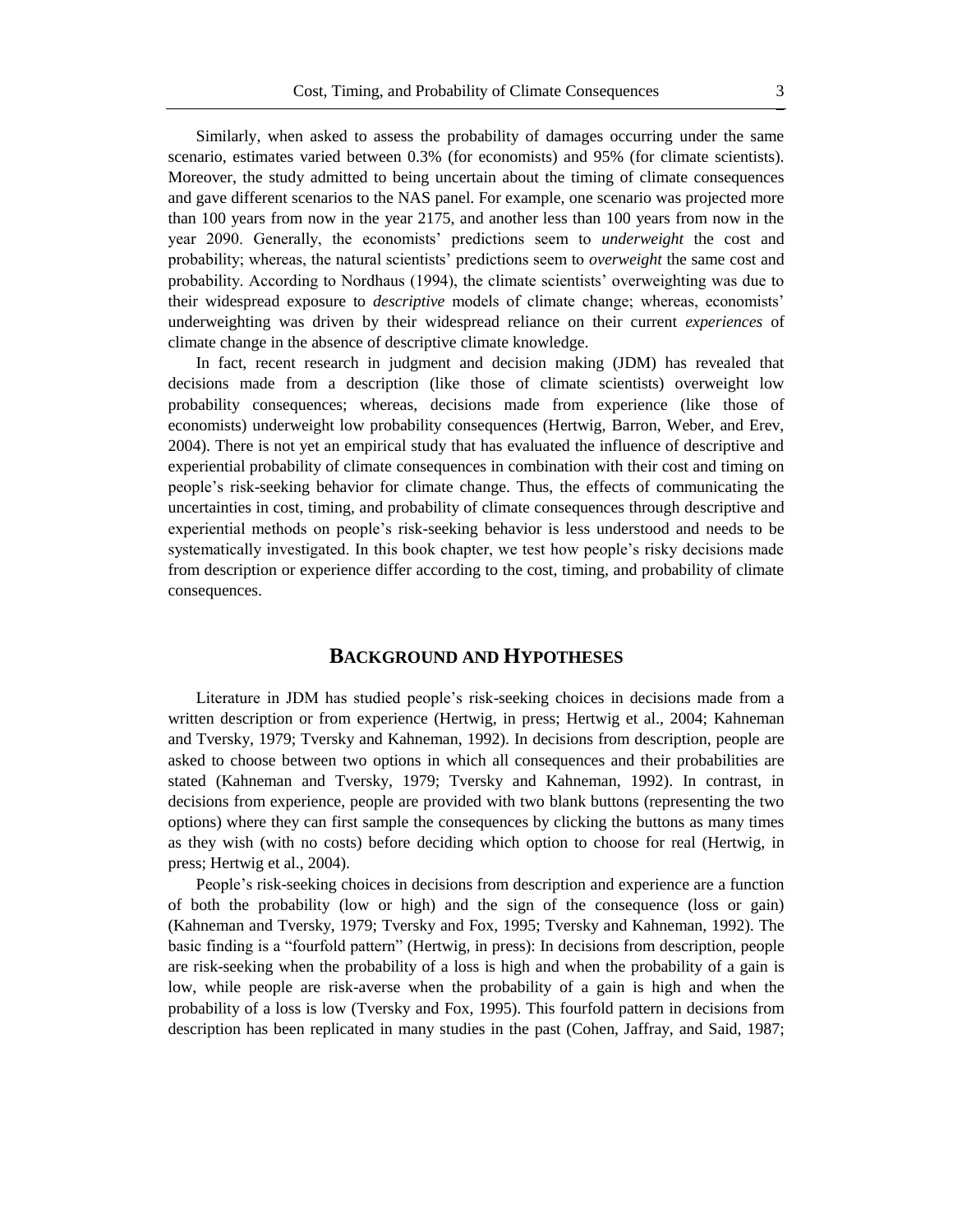Similarly, when asked to assess the probability of damages occurring under the same scenario, estimates varied between 0.3% (for economists) and 95% (for climate scientists). Moreover, the study admitted to being uncertain about the timing of climate consequences and gave different scenarios to the NAS panel. For example, one scenario was projected more than 100 years from now in the year 2175, and another less than 100 years from now in the year 2090. Generally, the economists' predictions seem to *underweight* the cost and probability; whereas, the natural scientists' predictions seem to *overweight* the same cost and probability. According to Nordhaus (1994), the climate scientists' overweighting was due to their widespread exposure to *descriptive* models of climate change; whereas, economists' underweighting was driven by their widespread reliance on their current *experiences* of climate change in the absence of descriptive climate knowledge.

In fact, recent research in judgment and decision making (JDM) has revealed that decisions made from a description (like those of climate scientists) overweight low probability consequences; whereas, decisions made from experience (like those of economists) underweight low probability consequences (Hertwig, Barron, Weber, and Erev, 2004). There is not yet an empirical study that has evaluated the influence of descriptive and experiential probability of climate consequences in combination with their cost and timing on people's risk-seeking behavior for climate change. Thus, the effects of communicating the uncertainties in cost, timing, and probability of climate consequences through descriptive and experiential methods on people's risk-seeking behavior is less understood and needs to be systematically investigated. In this book chapter, we test how people's risky decisions made from description or experience differ according to the cost, timing, and probability of climate consequences.

# **BACKGROUND AND HYPOTHESES**

Literature in JDM has studied people's risk-seeking choices in decisions made from a written description or from experience (Hertwig, in press; Hertwig et al., 2004; Kahneman and Tversky, 1979; Tversky and Kahneman, 1992). In decisions from description, people are asked to choose between two options in which all consequences and their probabilities are stated (Kahneman and Tversky, 1979; Tversky and Kahneman, 1992). In contrast, in decisions from experience, people are provided with two blank buttons (representing the two options) where they can first sample the consequences by clicking the buttons as many times as they wish (with no costs) before deciding which option to choose for real (Hertwig, in press; Hertwig et al., 2004).

People's risk-seeking choices in decisions from description and experience are a function of both the probability (low or high) and the sign of the consequence (loss or gain) (Kahneman and Tversky, 1979; Tversky and Fox, 1995; Tversky and Kahneman, 1992). The basic finding is a "fourfold pattern" (Hertwig, in press): In decisions from description, people are risk-seeking when the probability of a loss is high and when the probability of a gain is low, while people are risk-averse when the probability of a gain is high and when the probability of a loss is low (Tversky and Fox, 1995). This fourfold pattern in decisions from description has been replicated in many studies in the past (Cohen, Jaffray, and Said, 1987;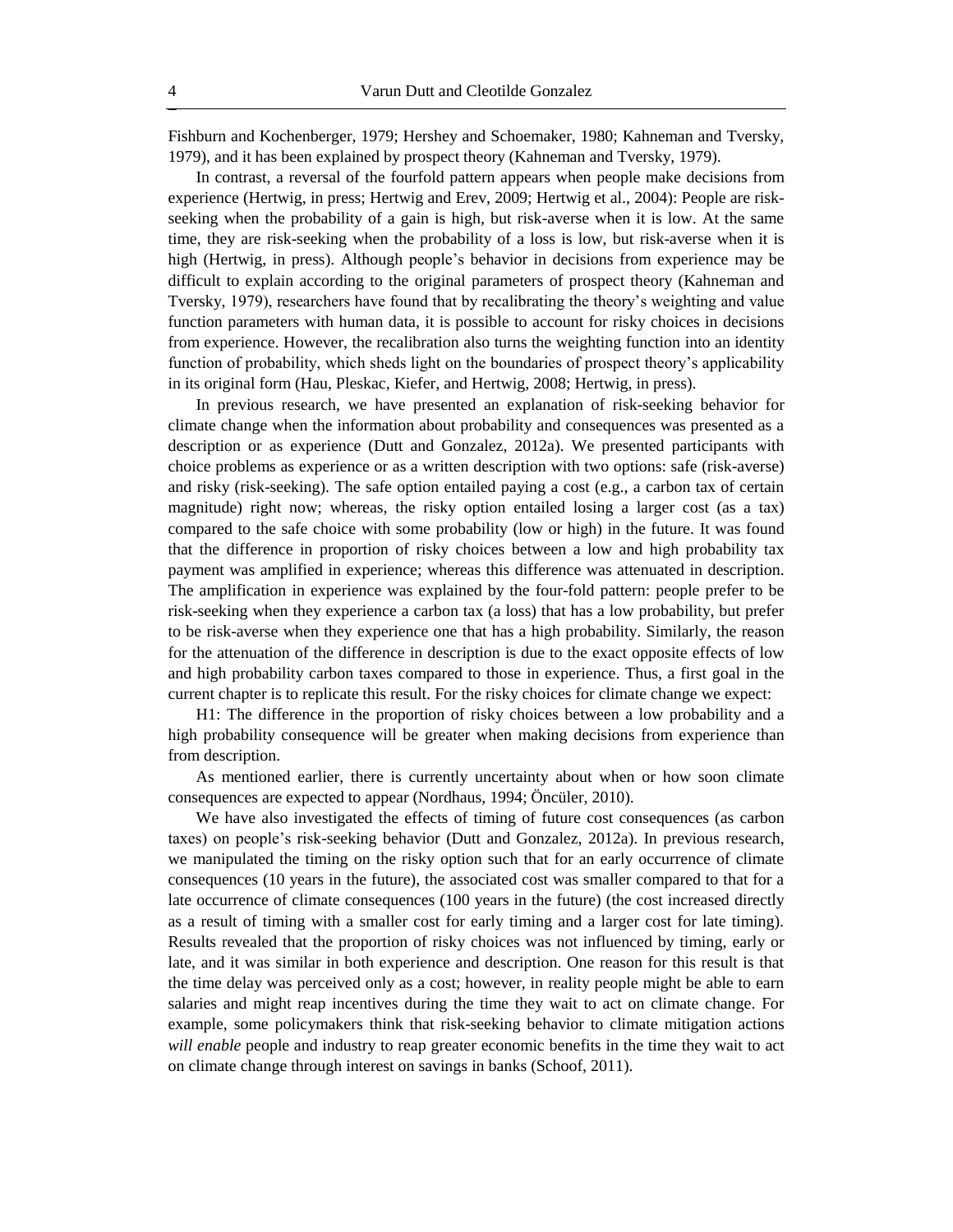Fishburn and Kochenberger, 1979; Hershey and Schoemaker, 1980; Kahneman and Tversky, 1979), and it has been explained by prospect theory (Kahneman and Tversky, 1979).

In contrast, a reversal of the fourfold pattern appears when people make decisions from experience (Hertwig, in press; Hertwig and Erev, 2009; Hertwig et al., 2004): People are riskseeking when the probability of a gain is high, but risk-averse when it is low. At the same time, they are risk-seeking when the probability of a loss is low, but risk-averse when it is high (Hertwig, in press). Although people's behavior in decisions from experience may be difficult to explain according to the original parameters of prospect theory (Kahneman and Tversky, 1979), researchers have found that by recalibrating the theory's weighting and value function parameters with human data, it is possible to account for risky choices in decisions from experience. However, the recalibration also turns the weighting function into an identity function of probability, which sheds light on the boundaries of prospect theory's applicability in its original form (Hau, Pleskac, Kiefer, and Hertwig, 2008; Hertwig, in press).

In previous research, we have presented an explanation of risk-seeking behavior for climate change when the information about probability and consequences was presented as a description or as experience (Dutt and Gonzalez, 2012a). We presented participants with choice problems as experience or as a written description with two options: safe (risk-averse) and risky (risk-seeking). The safe option entailed paying a cost (e.g., a carbon tax of certain magnitude) right now; whereas, the risky option entailed losing a larger cost (as a tax) compared to the safe choice with some probability (low or high) in the future. It was found that the difference in proportion of risky choices between a low and high probability tax payment was amplified in experience; whereas this difference was attenuated in description. The amplification in experience was explained by the four-fold pattern: people prefer to be risk-seeking when they experience a carbon tax (a loss) that has a low probability, but prefer to be risk-averse when they experience one that has a high probability. Similarly, the reason for the attenuation of the difference in description is due to the exact opposite effects of low and high probability carbon taxes compared to those in experience. Thus, a first goal in the current chapter is to replicate this result. For the risky choices for climate change we expect:

H1: The difference in the proportion of risky choices between a low probability and a high probability consequence will be greater when making decisions from experience than from description.

As mentioned earlier, there is currently uncertainty about when or how soon climate consequences are expected to appear (Nordhaus, 1994; Öncüler, 2010).

We have also investigated the effects of timing of future cost consequences (as carbon taxes) on people's risk-seeking behavior (Dutt and Gonzalez, 2012a). In previous research, we manipulated the timing on the risky option such that for an early occurrence of climate consequences (10 years in the future), the associated cost was smaller compared to that for a late occurrence of climate consequences (100 years in the future) (the cost increased directly as a result of timing with a smaller cost for early timing and a larger cost for late timing). Results revealed that the proportion of risky choices was not influenced by timing, early or late, and it was similar in both experience and description. One reason for this result is that the time delay was perceived only as a cost; however, in reality people might be able to earn salaries and might reap incentives during the time they wait to act on climate change. For example, some policymakers think that risk-seeking behavior to climate mitigation actions *will enable* people and industry to reap greater economic benefits in the time they wait to act on climate change through interest on savings in banks (Schoof, 2011).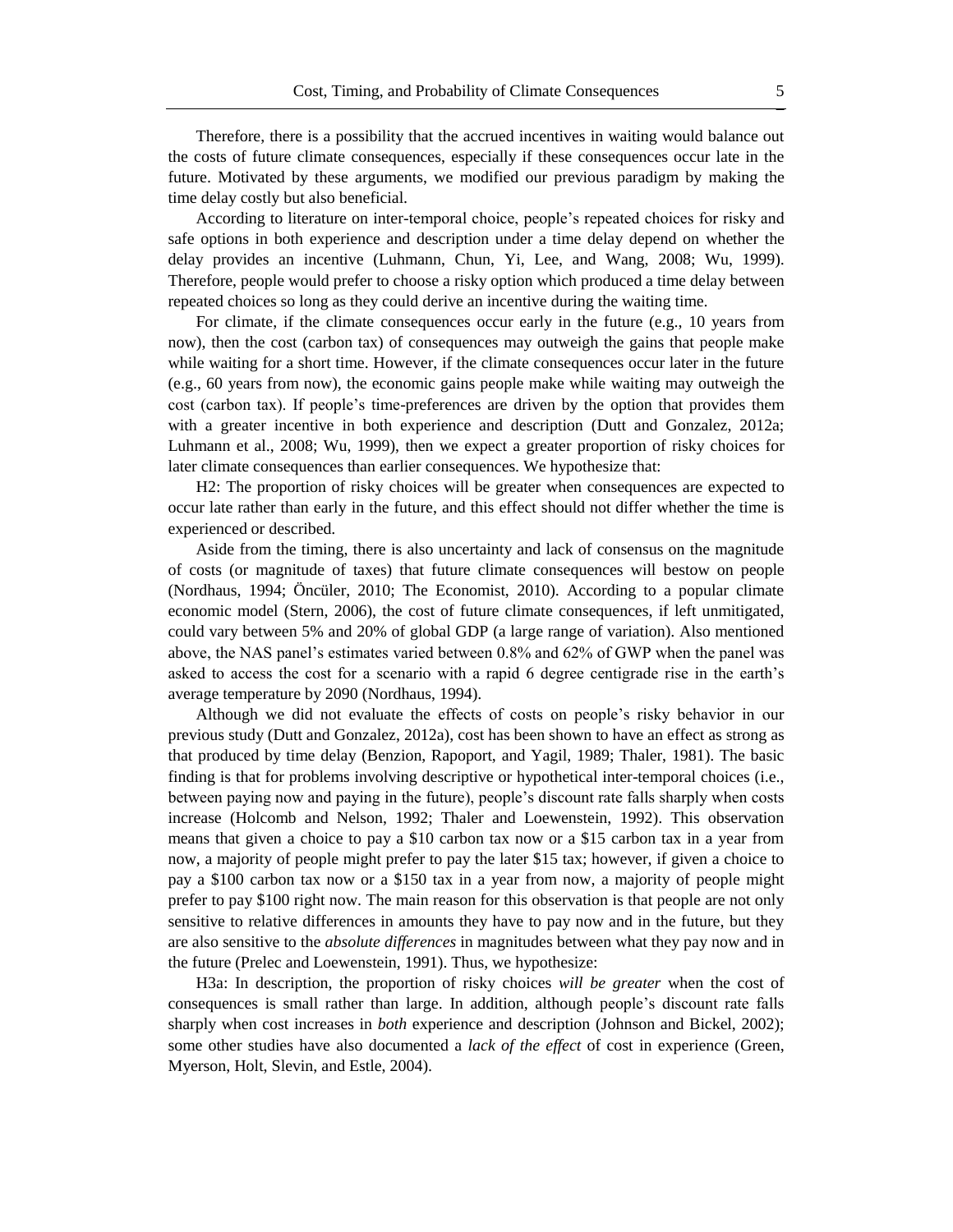Therefore, there is a possibility that the accrued incentives in waiting would balance out the costs of future climate consequences, especially if these consequences occur late in the future. Motivated by these arguments, we modified our previous paradigm by making the time delay costly but also beneficial.

According to literature on inter-temporal choice, people's repeated choices for risky and safe options in both experience and description under a time delay depend on whether the delay provides an incentive (Luhmann, Chun, Yi, Lee, and Wang, 2008; Wu, 1999). Therefore, people would prefer to choose a risky option which produced a time delay between repeated choices so long as they could derive an incentive during the waiting time.

For climate, if the climate consequences occur early in the future (e.g., 10 years from now), then the cost (carbon tax) of consequences may outweigh the gains that people make while waiting for a short time. However, if the climate consequences occur later in the future (e.g., 60 years from now), the economic gains people make while waiting may outweigh the cost (carbon tax). If people's time-preferences are driven by the option that provides them with a greater incentive in both experience and description (Dutt and Gonzalez, 2012a; Luhmann et al., 2008; Wu, 1999), then we expect a greater proportion of risky choices for later climate consequences than earlier consequences. We hypothesize that:

H2: The proportion of risky choices will be greater when consequences are expected to occur late rather than early in the future, and this effect should not differ whether the time is experienced or described.

Aside from the timing, there is also uncertainty and lack of consensus on the magnitude of costs (or magnitude of taxes) that future climate consequences will bestow on people (Nordhaus, 1994; Öncüler, 2010; The Economist, 2010). According to a popular climate economic model (Stern, 2006), the cost of future climate consequences, if left unmitigated, could vary between 5% and 20% of global GDP (a large range of variation). Also mentioned above, the NAS panel's estimates varied between 0.8% and 62% of GWP when the panel was asked to access the cost for a scenario with a rapid 6 degree centigrade rise in the earth's average temperature by 2090 (Nordhaus, 1994).

Although we did not evaluate the effects of costs on people's risky behavior in our previous study (Dutt and Gonzalez, 2012a), cost has been shown to have an effect as strong as that produced by time delay (Benzion, Rapoport, and Yagil, 1989; Thaler, 1981). The basic finding is that for problems involving descriptive or hypothetical inter-temporal choices (i.e., between paying now and paying in the future), people's discount rate falls sharply when costs increase (Holcomb and Nelson, 1992; Thaler and Loewenstein, 1992). This observation means that given a choice to pay a \$10 carbon tax now or a \$15 carbon tax in a year from now, a majority of people might prefer to pay the later \$15 tax; however, if given a choice to pay a \$100 carbon tax now or a \$150 tax in a year from now, a majority of people might prefer to pay \$100 right now. The main reason for this observation is that people are not only sensitive to relative differences in amounts they have to pay now and in the future, but they are also sensitive to the *absolute differences* in magnitudes between what they pay now and in the future (Prelec and Loewenstein, 1991). Thus, we hypothesize:

H3a: In description, the proportion of risky choices *will be greater* when the cost of consequences is small rather than large. In addition, although people's discount rate falls sharply when cost increases in *both* experience and description (Johnson and Bickel, 2002); some other studies have also documented a *lack of the effect* of cost in experience (Green, Myerson, Holt, Slevin, and Estle, 2004).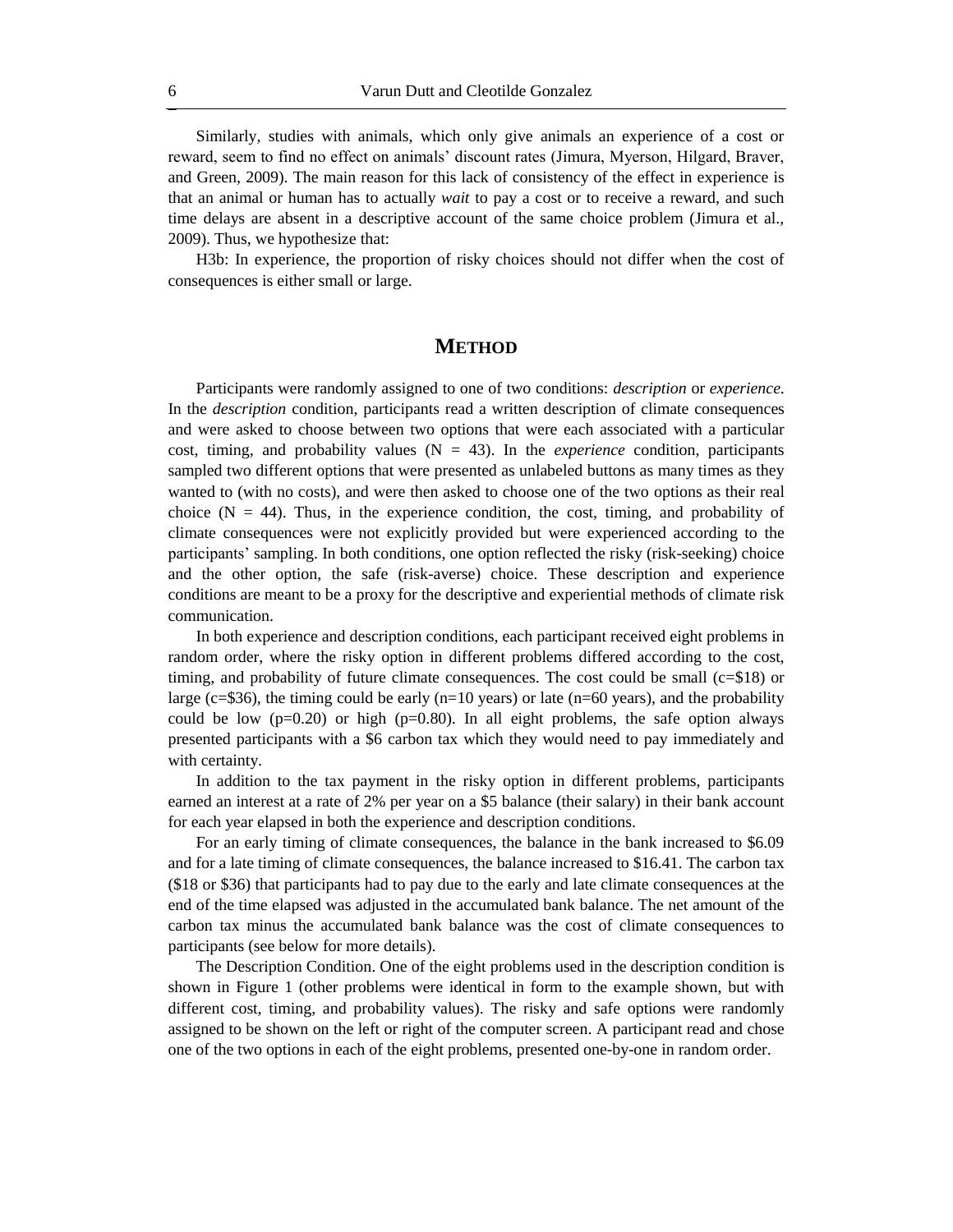Similarly, studies with animals, which only give animals an experience of a cost or reward, seem to find no effect on animals' discount rates (Jimura, Myerson, Hilgard, Braver, and Green, 2009). The main reason for this lack of consistency of the effect in experience is that an animal or human has to actually *wait* to pay a cost or to receive a reward, and such time delays are absent in a descriptive account of the same choice problem (Jimura et al., 2009). Thus, we hypothesize that:

H3b: In experience, the proportion of risky choices should not differ when the cost of consequences is either small or large.

## **METHOD**

Participants were randomly assigned to one of two conditions: *description* or *experience*. In the *description* condition, participants read a written description of climate consequences and were asked to choose between two options that were each associated with a particular cost, timing, and probability values  $(N = 43)$ . In the *experience* condition, participants sampled two different options that were presented as unlabeled buttons as many times as they wanted to (with no costs), and were then asked to choose one of the two options as their real choice  $(N = 44)$ . Thus, in the experience condition, the cost, timing, and probability of climate consequences were not explicitly provided but were experienced according to the participants' sampling. In both conditions, one option reflected the risky (risk-seeking) choice and the other option, the safe (risk-averse) choice. These description and experience conditions are meant to be a proxy for the descriptive and experiential methods of climate risk communication.

In both experience and description conditions, each participant received eight problems in random order, where the risky option in different problems differed according to the cost, timing, and probability of future climate consequences. The cost could be small (c=\$18) or large (c=\$36), the timing could be early (n=10 years) or late (n=60 years), and the probability could be low  $(p=0.20)$  or high  $(p=0.80)$ . In all eight problems, the safe option always presented participants with a \$6 carbon tax which they would need to pay immediately and with certainty.

In addition to the tax payment in the risky option in different problems, participants earned an interest at a rate of 2% per year on a \$5 balance (their salary) in their bank account for each year elapsed in both the experience and description conditions.

For an early timing of climate consequences, the balance in the bank increased to \$6.09 and for a late timing of climate consequences, the balance increased to \$16.41. The carbon tax (\$18 or \$36) that participants had to pay due to the early and late climate consequences at the end of the time elapsed was adjusted in the accumulated bank balance. The net amount of the carbon tax minus the accumulated bank balance was the cost of climate consequences to participants (see below for more details).

The Description Condition. One of the eight problems used in the description condition is shown in Figure 1 (other problems were identical in form to the example shown, but with different cost, timing, and probability values). The risky and safe options were randomly assigned to be shown on the left or right of the computer screen. A participant read and chose one of the two options in each of the eight problems, presented one-by-one in random order.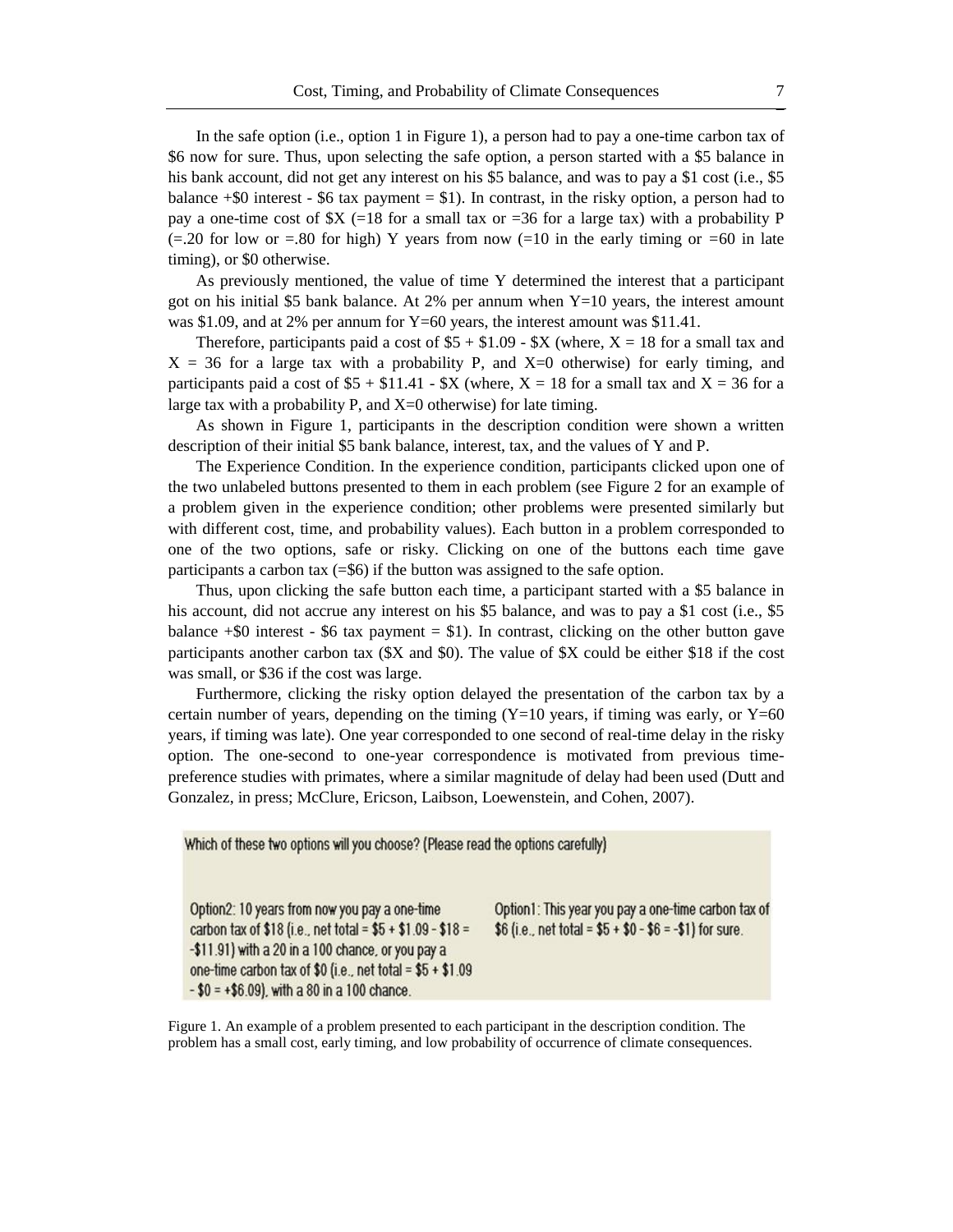In the safe option (i.e., option 1 in Figure 1), a person had to pay a one-time carbon tax of \$6 now for sure. Thus, upon selecting the safe option, a person started with a \$5 balance in his bank account, did not get any interest on his \$5 balance, and was to pay a \$1 cost (i.e., \$5) balance  $+$ \$0 interest - \$6 tax payment = \$1). In contrast, in the risky option, a person had to pay a one-time cost of  $X = 18$  for a small tax or  $=36$  for a large tax) with a probability P  $(=.20$  for low or  $=.80$  for high) Y years from now  $(=10$  in the early timing or  $=60$  in late timing), or \$0 otherwise.

As previously mentioned, the value of time Y determined the interest that a participant got on his initial \$5 bank balance. At  $2\%$  per annum when Y=10 years, the interest amount was \$1.09, and at 2% per annum for Y=60 years, the interest amount was \$11.41.

Therefore, participants paid a cost of  $$5 + $1.09 - $X$  (where,  $X = 18$  for a small tax and  $X = 36$  for a large tax with a probability P, and  $X=0$  otherwise) for early timing, and participants paid a cost of  $$5 + $11.41 - $X$  (where, X = 18 for a small tax and X = 36 for a large tax with a probability P, and  $X=0$  otherwise) for late timing.

As shown in Figure 1, participants in the description condition were shown a written description of their initial \$5 bank balance, interest, tax, and the values of Y and P.

The Experience Condition. In the experience condition, participants clicked upon one of the two unlabeled buttons presented to them in each problem (see Figure 2 for an example of a problem given in the experience condition; other problems were presented similarly but with different cost, time, and probability values). Each button in a problem corresponded to one of the two options, safe or risky. Clicking on one of the buttons each time gave participants a carbon tax  $(=\$6)$  if the button was assigned to the safe option.

Thus, upon clicking the safe button each time, a participant started with a \$5 balance in his account, did not accrue any interest on his \$5 balance, and was to pay a \$1 cost (i.e., \$5 balance  $+$  \$0 interest - \$6 tax payment = \$1). In contrast, clicking on the other button gave participants another carbon tax (\$X and \$0). The value of \$X could be either \$18 if the cost was small, or \$36 if the cost was large.

Furthermore, clicking the risky option delayed the presentation of the carbon tax by a certain number of years, depending on the timing  $(Y=10)$  years, if timing was early, or  $Y=60$ years, if timing was late). One year corresponded to one second of real-time delay in the risky option. The one-second to one-year correspondence is motivated from previous timepreference studies with primates, where a similar magnitude of delay had been used (Dutt and Gonzalez, in press; McClure, Ericson, Laibson, Loewenstein, and Cohen, 2007).

Which of these two options will you choose? (Please read the options carefully)

Option2: 10 years from now you pay a one-time carbon tax of \$18 (i.e., net total =  $$5 + $1.09 - $18 =$ -\$11.91) with a 20 in a 100 chance, or you pay a one-time carbon tax of \$0 (i.e., net total =  $$5 + $1.09$  $-$  \$0 = +\$6.09), with a 80 in a 100 chance.

Option1: This year you pay a one-time carbon tax of \$6 (i.e., net total =  $$5 + $0 - $6 = -$1$ ) for sure.

Figure 1. An example of a problem presented to each participant in the description condition. The problem has a small cost, early timing, and low probability of occurrence of climate consequences.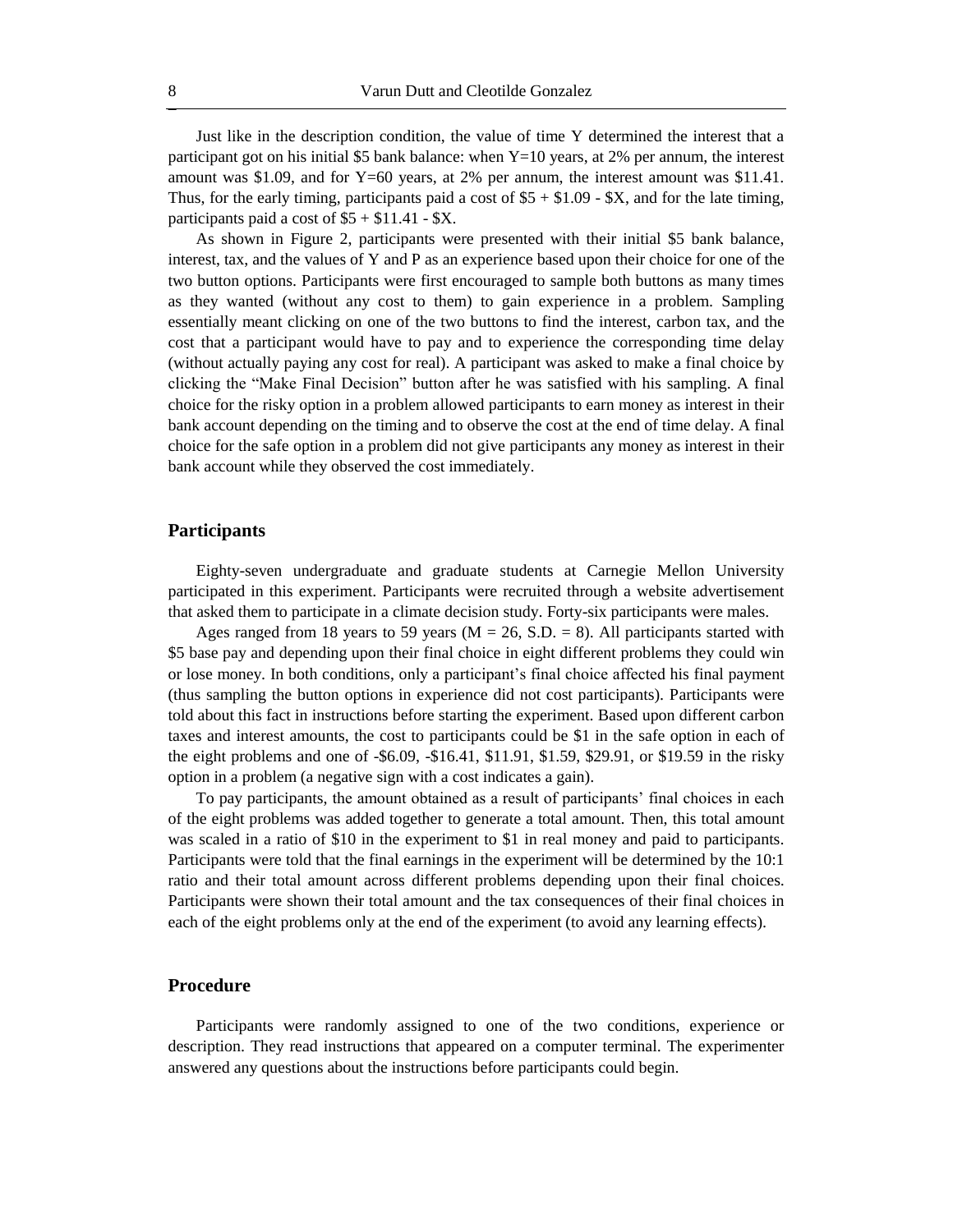Just like in the description condition, the value of time Y determined the interest that a participant got on his initial \$5 bank balance: when Y=10 years, at 2% per annum, the interest amount was \$1.09, and for Y=60 years, at 2% per annum, the interest amount was \$11.41. Thus, for the early timing, participants paid a cost of  $$5 + $1.09 - $X$ , and for the late timing, participants paid a cost of  $$5 + $11.41 - $X$ .

As shown in Figure 2, participants were presented with their initial \$5 bank balance, interest, tax, and the values of Y and P as an experience based upon their choice for one of the two button options. Participants were first encouraged to sample both buttons as many times as they wanted (without any cost to them) to gain experience in a problem. Sampling essentially meant clicking on one of the two buttons to find the interest, carbon tax, and the cost that a participant would have to pay and to experience the corresponding time delay (without actually paying any cost for real). A participant was asked to make a final choice by clicking the "Make Final Decision" button after he was satisfied with his sampling. A final choice for the risky option in a problem allowed participants to earn money as interest in their bank account depending on the timing and to observe the cost at the end of time delay. A final choice for the safe option in a problem did not give participants any money as interest in their bank account while they observed the cost immediately.

## **Participants**

Eighty-seven undergraduate and graduate students at Carnegie Mellon University participated in this experiment. Participants were recruited through a website advertisement that asked them to participate in a climate decision study. Forty-six participants were males.

Ages ranged from 18 years to 59 years ( $M = 26$ , S.D. = 8). All participants started with \$5 base pay and depending upon their final choice in eight different problems they could win or lose money. In both conditions, only a participant's final choice affected his final payment (thus sampling the button options in experience did not cost participants). Participants were told about this fact in instructions before starting the experiment. Based upon different carbon taxes and interest amounts, the cost to participants could be \$1 in the safe option in each of the eight problems and one of -\$6.09, -\$16.41, \$11.91, \$1.59, \$29.91, or \$19.59 in the risky option in a problem (a negative sign with a cost indicates a gain).

To pay participants, the amount obtained as a result of participants' final choices in each of the eight problems was added together to generate a total amount. Then, this total amount was scaled in a ratio of \$10 in the experiment to \$1 in real money and paid to participants. Participants were told that the final earnings in the experiment will be determined by the 10:1 ratio and their total amount across different problems depending upon their final choices. Participants were shown their total amount and the tax consequences of their final choices in each of the eight problems only at the end of the experiment (to avoid any learning effects).

### **Procedure**

Participants were randomly assigned to one of the two conditions, experience or description. They read instructions that appeared on a computer terminal. The experimenter answered any questions about the instructions before participants could begin.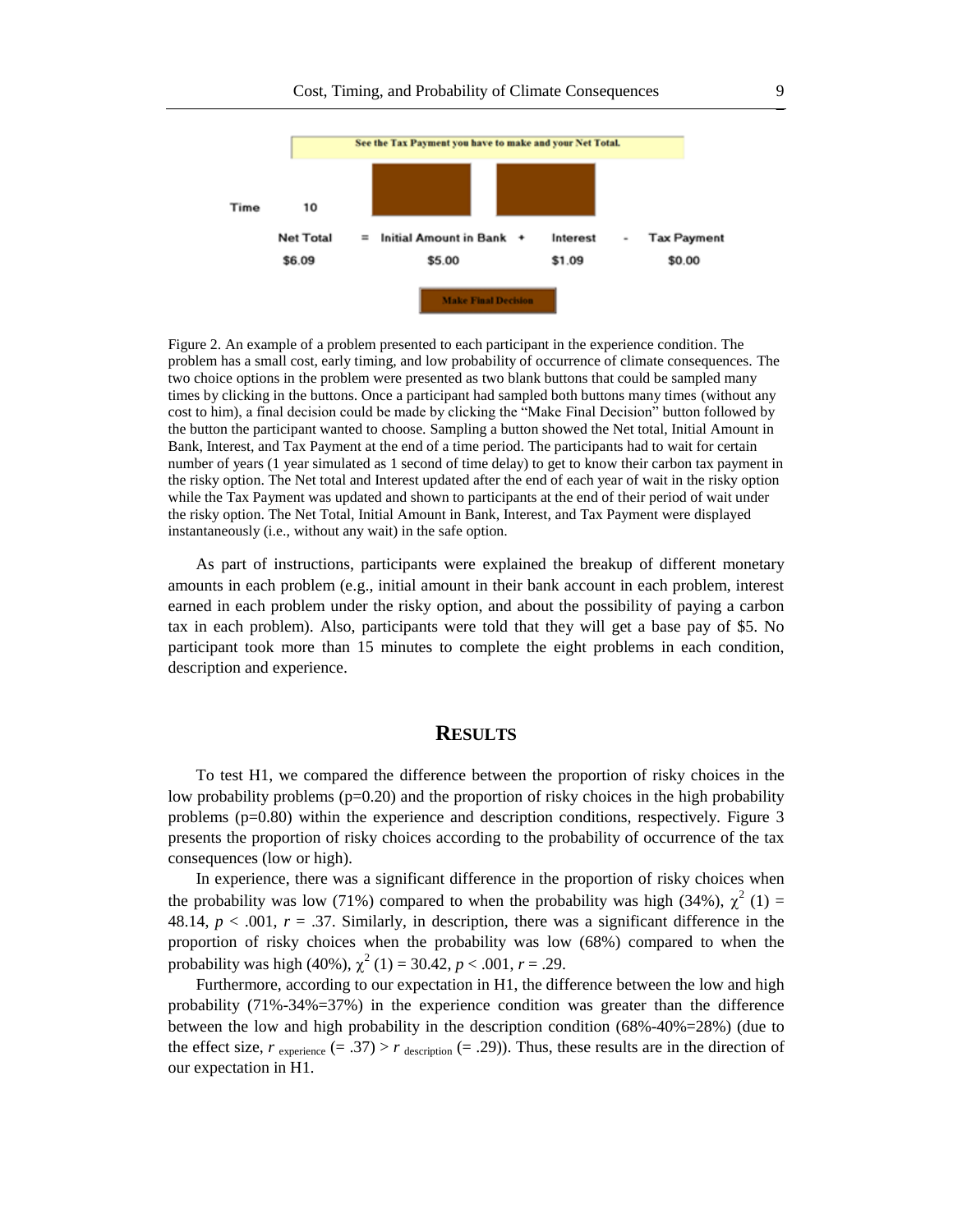

Figure 2. An example of a problem presented to each participant in the experience condition. The problem has a small cost, early timing, and low probability of occurrence of climate consequences. The two choice options in the problem were presented as two blank buttons that could be sampled many times by clicking in the buttons. Once a participant had sampled both buttons many times (without any cost to him), a final decision could be made by clicking the "Make Final Decision" button followed by the button the participant wanted to choose. Sampling a button showed the Net total, Initial Amount in Bank, Interest, and Tax Payment at the end of a time period. The participants had to wait for certain number of years (1 year simulated as 1 second of time delay) to get to know their carbon tax payment in the risky option. The Net total and Interest updated after the end of each year of wait in the risky option while the Tax Payment was updated and shown to participants at the end of their period of wait under the risky option. The Net Total, Initial Amount in Bank, Interest, and Tax Payment were displayed instantaneously (i.e., without any wait) in the safe option.

As part of instructions, participants were explained the breakup of different monetary amounts in each problem (e.g., initial amount in their bank account in each problem, interest earned in each problem under the risky option, and about the possibility of paying a carbon tax in each problem). Also, participants were told that they will get a base pay of \$5. No participant took more than 15 minutes to complete the eight problems in each condition, description and experience.

## **RESULTS**

To test H1, we compared the difference between the proportion of risky choices in the low probability problems (p=0.20) and the proportion of risky choices in the high probability problems (p=0.80) within the experience and description conditions, respectively. Figure 3 presents the proportion of risky choices according to the probability of occurrence of the tax consequences (low or high).

In experience, there was a significant difference in the proportion of risky choices when the probability was low (71%) compared to when the probability was high (34%),  $\chi^2$  (1) = 48.14,  $p < .001$ ,  $r = .37$ . Similarly, in description, there was a significant difference in the proportion of risky choices when the probability was low (68%) compared to when the probability was high (40%),  $\chi^2$  (1) = 30.42, *p* < .001, *r* = .29.

Furthermore, according to our expectation in H1, the difference between the low and high probability  $(71\% - 34\% = 37\%)$  in the experience condition was greater than the difference between the low and high probability in the description condition  $(68\% - 40\% = 28\%)$  (due to the effect size,  $r_{\text{experience}} = .37$  >  $r_{\text{description}} = .29$ ). Thus, these results are in the direction of our expectation in H1.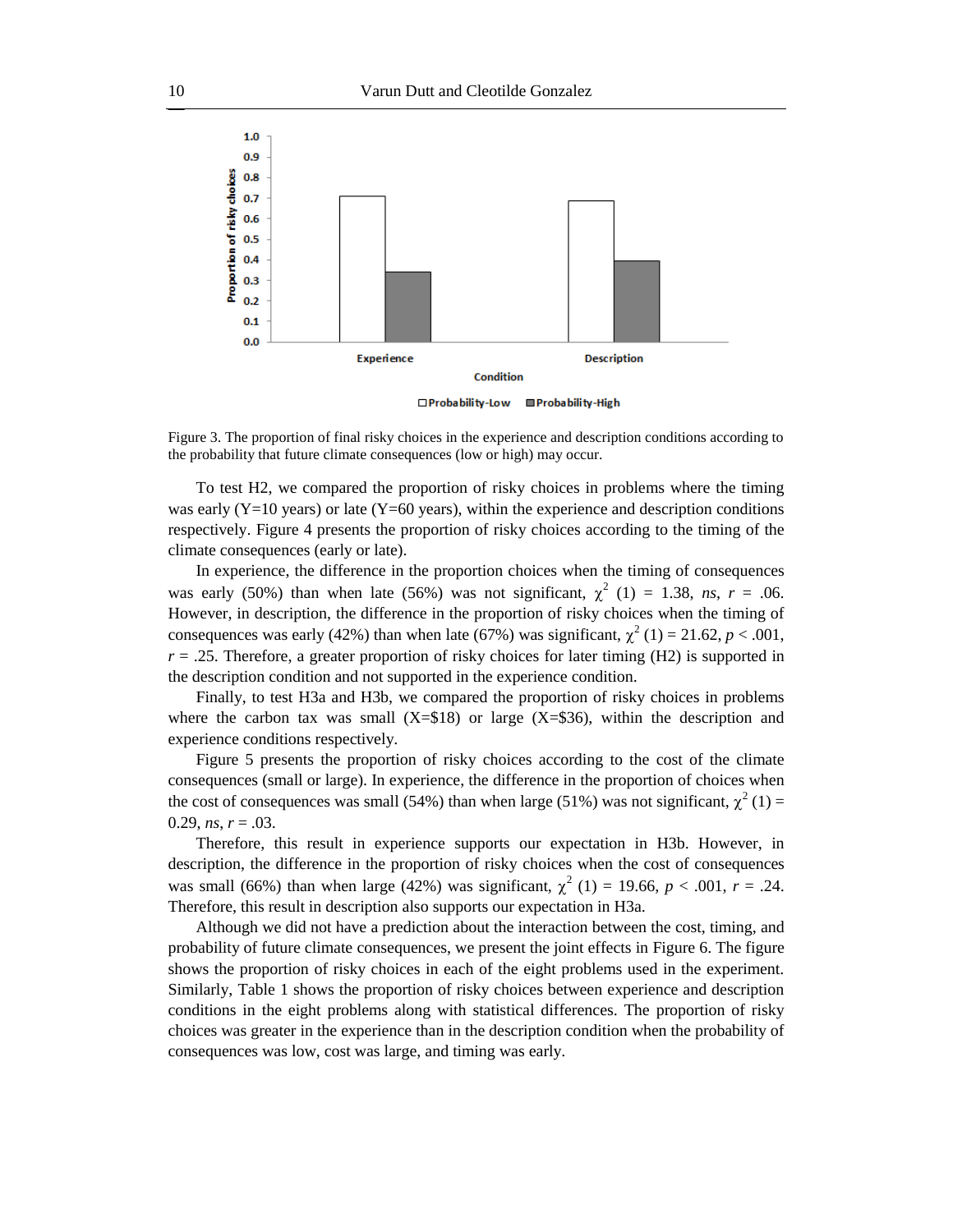

Figure 3. The proportion of final risky choices in the experience and description conditions according to the probability that future climate consequences (low or high) may occur.

To test H2, we compared the proportion of risky choices in problems where the timing was early  $(Y=10$  years) or late  $(Y=60$  years), within the experience and description conditions respectively. Figure 4 presents the proportion of risky choices according to the timing of the climate consequences (early or late).

In experience, the difference in the proportion choices when the timing of consequences was early (50%) than when late (56%) was not significant,  $\chi^2$  (1) = 1.38, *ns*, *r* = .06. However, in description, the difference in the proportion of risky choices when the timing of consequences was early (42%) than when late (67%) was significant,  $\chi^2$  (1) = 21.62, *p* < .001,  $r = 0.25$ . Therefore, a greater proportion of risky choices for later timing (H2) is supported in the description condition and not supported in the experience condition.

Finally, to test H3a and H3b, we compared the proportion of risky choices in problems where the carbon tax was small  $(X=$18)$  or large  $(X=$36)$ , within the description and experience conditions respectively.

Figure 5 presents the proportion of risky choices according to the cost of the climate consequences (small or large). In experience, the difference in the proportion of choices when the cost of consequences was small (54%) than when large (51%) was not significant,  $\chi^2$  (1) = 0.29, *ns*,  $r = .03$ .

Therefore, this result in experience supports our expectation in H3b. However, in description, the difference in the proportion of risky choices when the cost of consequences was small (66%) than when large (42%) was significant,  $\chi^2$  (1) = 19.66, *p* < .001, *r* = .24. Therefore, this result in description also supports our expectation in H3a.

Although we did not have a prediction about the interaction between the cost, timing, and probability of future climate consequences, we present the joint effects in Figure 6. The figure shows the proportion of risky choices in each of the eight problems used in the experiment. Similarly, Table 1 shows the proportion of risky choices between experience and description conditions in the eight problems along with statistical differences. The proportion of risky choices was greater in the experience than in the description condition when the probability of consequences was low, cost was large, and timing was early.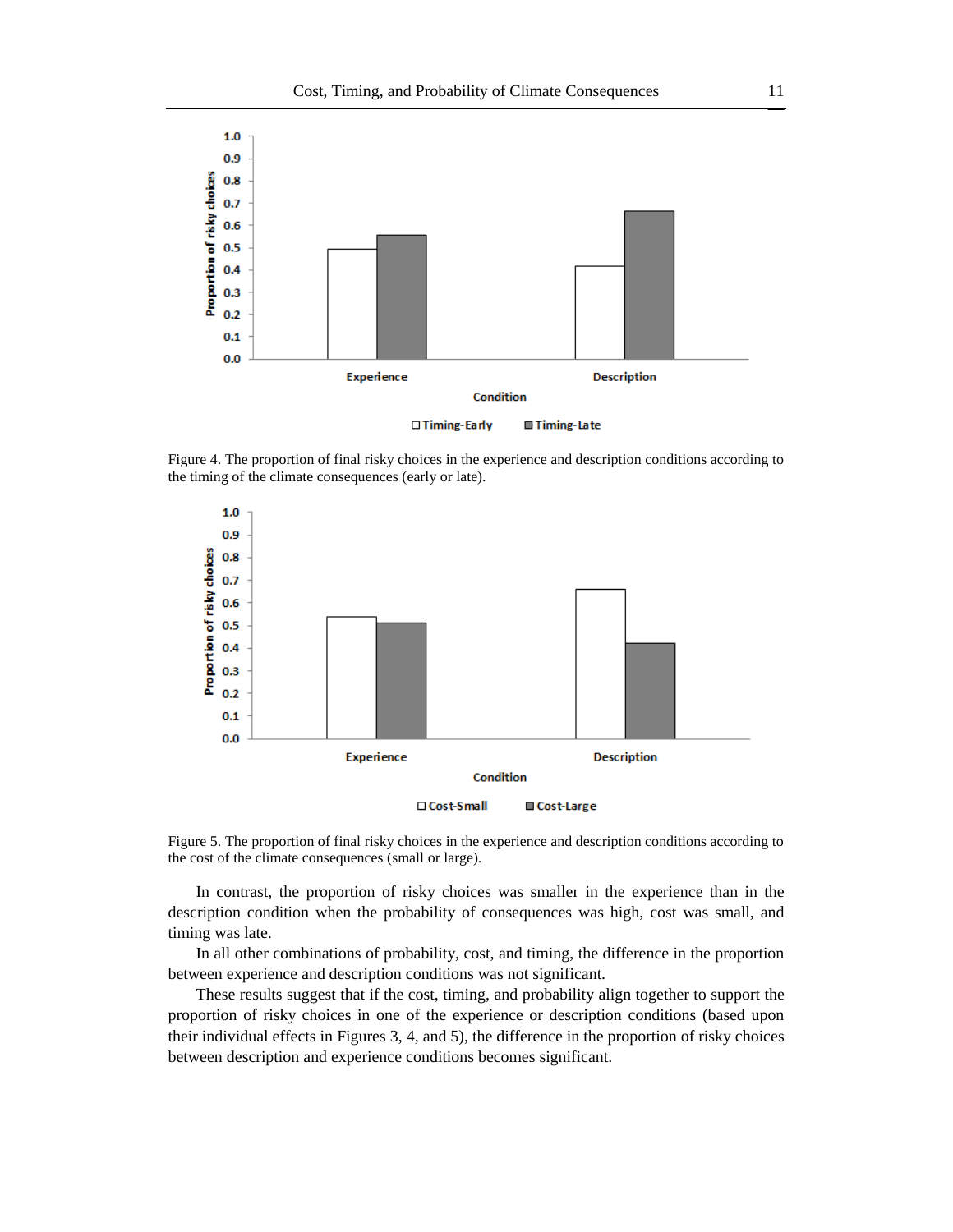

Figure 4. The proportion of final risky choices in the experience and description conditions according to the timing of the climate consequences (early or late).



Figure 5. The proportion of final risky choices in the experience and description conditions according to the cost of the climate consequences (small or large).

In contrast, the proportion of risky choices was smaller in the experience than in the description condition when the probability of consequences was high, cost was small, and timing was late.

In all other combinations of probability, cost, and timing, the difference in the proportion between experience and description conditions was not significant.

These results suggest that if the cost, timing, and probability align together to support the proportion of risky choices in one of the experience or description conditions (based upon their individual effects in Figures 3, 4, and 5), the difference in the proportion of risky choices between description and experience conditions becomes significant.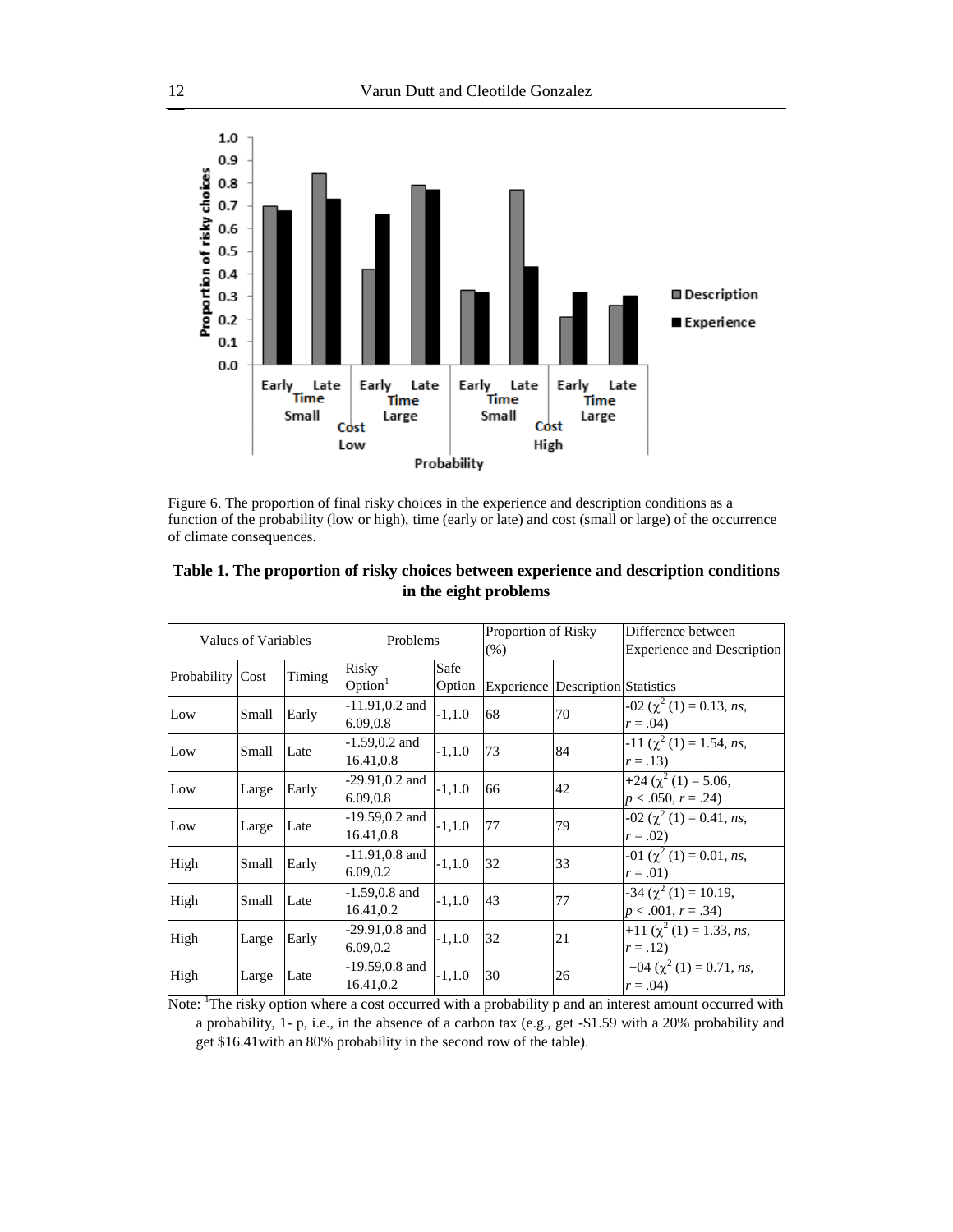

Figure 6. The proportion of final risky choices in the experience and description conditions as a function of the probability (low or high), time (early or late) and cost (small or large) of the occurrence of climate consequences.

| Values of Variables     |       |        | Problems            |          | Proportion of Risky<br>(% ) |                                          | Difference between<br><b>Experience and Description</b> |  |
|-------------------------|-------|--------|---------------------|----------|-----------------------------|------------------------------------------|---------------------------------------------------------|--|
| <b>Probability Cost</b> |       | Timing | Risky               | Safe     |                             |                                          |                                                         |  |
|                         |       |        | Option <sup>1</sup> | Option   |                             | <b>Experience Description Statistics</b> |                                                         |  |
| Low                     | Small | Early  | $-11.91, 0.2$ and   | $-1,1.0$ | 68                          | 70                                       | $-02$ ( $\chi^2$ (1) = 0.13, <i>ns</i> ,                |  |
|                         |       |        | 6.09,0.8            |          |                             |                                          | $r = .04$                                               |  |
| Low                     | Small | Late   | $-1.59, 0.2$ and    | $-1,1.0$ | 73                          | 84                                       | $-11$ ( $\chi^2$ (1) = 1.54, <i>ns</i> ,                |  |
|                         |       |        | 16.41,0.8           |          |                             |                                          | $r = .13$                                               |  |
| Low                     | Large | Early  | -29.91,0.2 and      | $-1.1.0$ | 66                          | 42                                       | $+24$ ( $\chi^2$ (1) = 5.06,                            |  |
|                         |       |        | 6.09,0.8            |          |                             |                                          | $p < .050, r = .24$                                     |  |
| Low                     | Large | Late   | -19.59,0.2 and      | $-1,1.0$ | 77                          | 79                                       | $-02$ ( $\chi^2$ (1) = 0.41, <i>ns</i> ,                |  |
|                         |       |        | 16.41,0.8           |          |                             |                                          | $r = .02$                                               |  |
| High                    | Small | Early  | $-11.91,0.8$ and    | $-1,1.0$ | 32                          | 33                                       | $-01$ ( $\chi^2$ (1) = 0.01, <i>ns</i> ,                |  |
|                         |       |        | 6.09,0.2            |          |                             |                                          | $r = .01$                                               |  |
| High                    | Small | Late   | $-1.59, 0.8$ and    | $-1,1.0$ | 43                          | 77                                       | $-34$ ( $\chi^2$ (1) = 10.19,                           |  |
|                         |       |        | 16.41,0.2           |          |                             |                                          | $p < .001, r = .34$                                     |  |
| High                    | Large | Early  | -29.91,0.8 and      | $-1,1.0$ | 32                          | 21                                       | $+11$ ( $\chi^2$ (1) = 1.33, ns,                        |  |
|                         |       |        | 6.09,0.2            |          |                             |                                          | $r = .12$                                               |  |
| High                    | Large | Late   | -19.59,0.8 and      | $-1,1.0$ | 30                          | 26                                       | $+04$ ( $\chi^2$ (1) = 0.71, <i>ns</i> ,                |  |
|                         |       |        | 16.41,0.2           |          |                             |                                          | $r = .04$                                               |  |

## **Table 1. The proportion of risky choices between experience and description conditions in the eight problems**

Note: <sup>1</sup>The risky option where a cost occurred with a probability p and an interest amount occurred with a probability, 1- p, i.e., in the absence of a carbon tax (e.g., get -\$1.59 with a 20% probability and get \$16.41with an 80% probability in the second row of the table).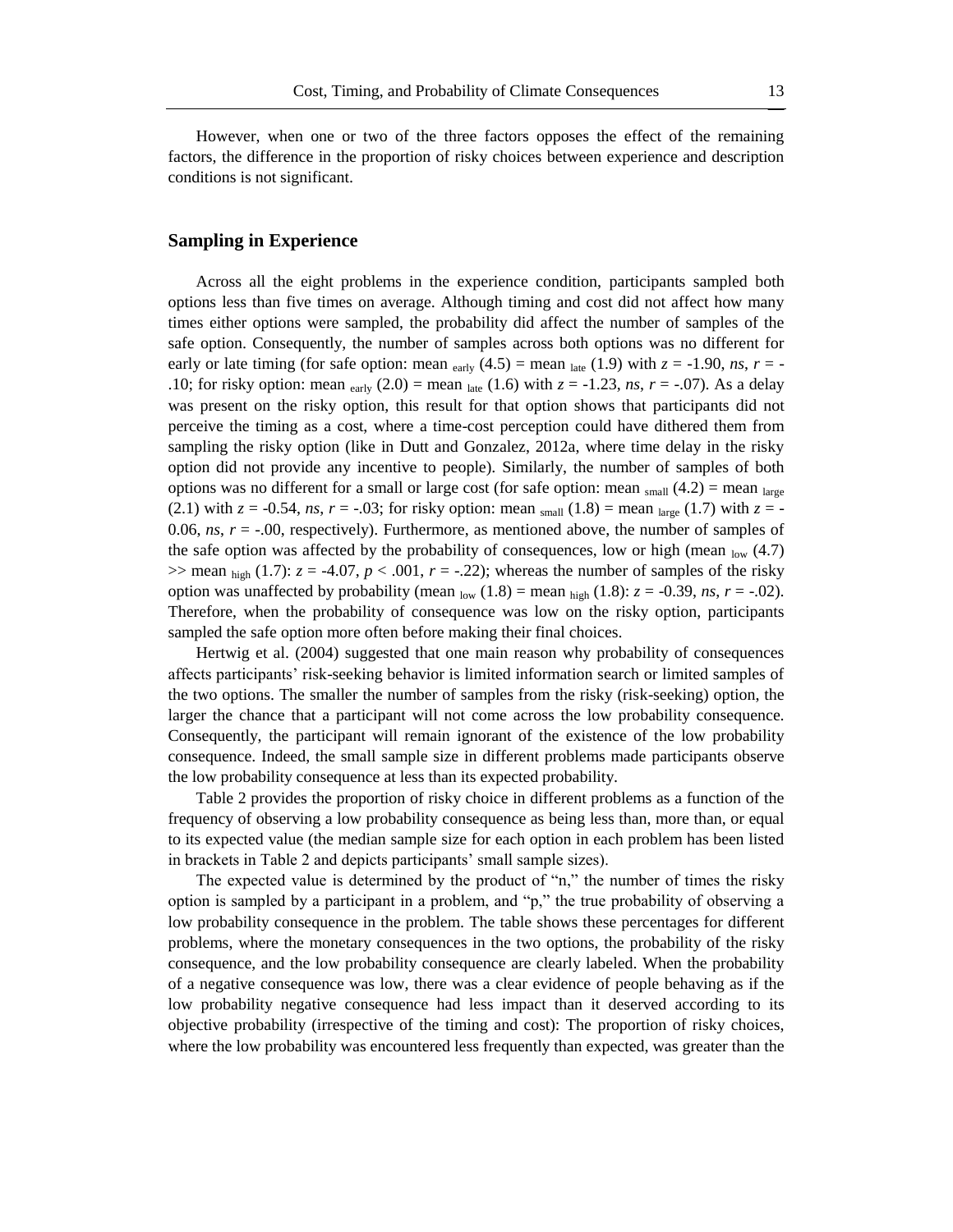However, when one or two of the three factors opposes the effect of the remaining factors, the difference in the proportion of risky choices between experience and description conditions is not significant.

## **Sampling in Experience**

Across all the eight problems in the experience condition, participants sampled both options less than five times on average. Although timing and cost did not affect how many times either options were sampled, the probability did affect the number of samples of the safe option. Consequently, the number of samples across both options was no different for early or late timing (for safe option: mean <sub>early</sub>  $(4.5)$  = mean <sub>late</sub>  $(1.9)$  with  $z = -1.90$ , *ns*,  $r = -1.90$ .10; for risky option: mean <sub>early</sub> (2.0) = mean <sub>late</sub> (1.6) with  $z = -1.23$ , *ns*,  $r = -.07$ ). As a delay was present on the risky option, this result for that option shows that participants did not perceive the timing as a cost, where a time-cost perception could have dithered them from sampling the risky option (like in Dutt and Gonzalez, 2012a, where time delay in the risky option did not provide any incentive to people). Similarly, the number of samples of both options was no different for a small or large cost (for safe option: mean  $_{\text{small}}(4.2)$  = mean  $_{\text{large}}$  $(2.1)$  with  $z = -0.54$ , *ns*,  $r = -0.03$ ; for risky option: mean <sub>small</sub>  $(1.8)$  = mean <sub>large</sub> (1.7) with  $z = -1$ 0.06,  $ns$ ,  $r = -0.00$ , respectively). Furthermore, as mentioned above, the number of samples of the safe option was affected by the probability of consequences, low or high (mean  $_{low}$  (4.7)  $\gg$  mean <sub>high</sub> (1.7):  $z = -4.07$ ,  $p < .001$ ,  $r = -.22$ ); whereas the number of samples of the risky option was unaffected by probability (mean  $_{low}$  (1.8) = mean  $_{high}$  (1.8):  $z = -0.39$ , *ns*,  $r = -.02$ ). Therefore, when the probability of consequence was low on the risky option, participants sampled the safe option more often before making their final choices.

Hertwig et al. (2004) suggested that one main reason why probability of consequences affects participants' risk-seeking behavior is limited information search or limited samples of the two options. The smaller the number of samples from the risky (risk-seeking) option, the larger the chance that a participant will not come across the low probability consequence. Consequently, the participant will remain ignorant of the existence of the low probability consequence. Indeed, the small sample size in different problems made participants observe the low probability consequence at less than its expected probability.

Table 2 provides the proportion of risky choice in different problems as a function of the frequency of observing a low probability consequence as being less than, more than, or equal to its expected value (the median sample size for each option in each problem has been listed in brackets in Table 2 and depicts participants' small sample sizes).

The expected value is determined by the product of "n," the number of times the risky option is sampled by a participant in a problem, and "p," the true probability of observing a low probability consequence in the problem. The table shows these percentages for different problems, where the monetary consequences in the two options, the probability of the risky consequence, and the low probability consequence are clearly labeled. When the probability of a negative consequence was low, there was a clear evidence of people behaving as if the low probability negative consequence had less impact than it deserved according to its objective probability (irrespective of the timing and cost): The proportion of risky choices, where the low probability was encountered less frequently than expected, was greater than the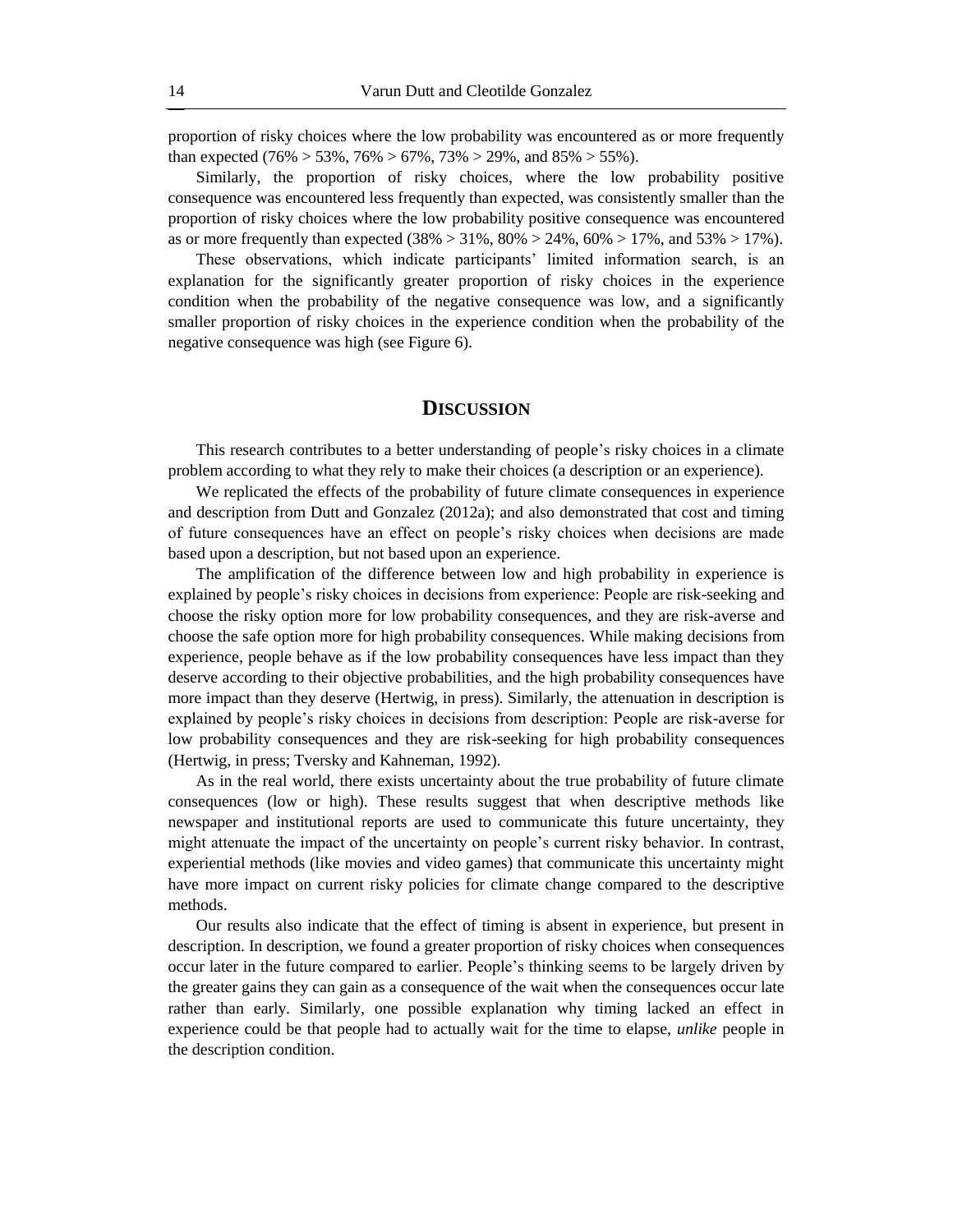proportion of risky choices where the low probability was encountered as or more frequently than expected  $(76\% > 53\%, 76\% > 67\%, 73\% > 29\%, \text{ and } 85\% > 55\%).$ 

Similarly, the proportion of risky choices, where the low probability positive consequence was encountered less frequently than expected, was consistently smaller than the proportion of risky choices where the low probability positive consequence was encountered as or more frequently than expected  $(38\% > 31\%, 80\% > 24\%, 60\% > 17\%, \text{ and } 53\% > 17\%).$ 

These observations, which indicate participants' limited information search, is an explanation for the significantly greater proportion of risky choices in the experience condition when the probability of the negative consequence was low, and a significantly smaller proportion of risky choices in the experience condition when the probability of the negative consequence was high (see Figure 6).

## **DISCUSSION**

This research contributes to a better understanding of people's risky choices in a climate problem according to what they rely to make their choices (a description or an experience).

We replicated the effects of the probability of future climate consequences in experience and description from Dutt and Gonzalez (2012a); and also demonstrated that cost and timing of future consequences have an effect on people's risky choices when decisions are made based upon a description, but not based upon an experience.

The amplification of the difference between low and high probability in experience is explained by people's risky choices in decisions from experience: People are risk-seeking and choose the risky option more for low probability consequences, and they are risk-averse and choose the safe option more for high probability consequences. While making decisions from experience, people behave as if the low probability consequences have less impact than they deserve according to their objective probabilities, and the high probability consequences have more impact than they deserve (Hertwig, in press). Similarly, the attenuation in description is explained by people's risky choices in decisions from description: People are risk-averse for low probability consequences and they are risk-seeking for high probability consequences (Hertwig, in press; Tversky and Kahneman, 1992).

As in the real world, there exists uncertainty about the true probability of future climate consequences (low or high). These results suggest that when descriptive methods like newspaper and institutional reports are used to communicate this future uncertainty, they might attenuate the impact of the uncertainty on people's current risky behavior. In contrast, experiential methods (like movies and video games) that communicate this uncertainty might have more impact on current risky policies for climate change compared to the descriptive methods.

Our results also indicate that the effect of timing is absent in experience, but present in description. In description, we found a greater proportion of risky choices when consequences occur later in the future compared to earlier. People's thinking seems to be largely driven by the greater gains they can gain as a consequence of the wait when the consequences occur late rather than early. Similarly, one possible explanation why timing lacked an effect in experience could be that people had to actually wait for the time to elapse, *unlike* people in the description condition.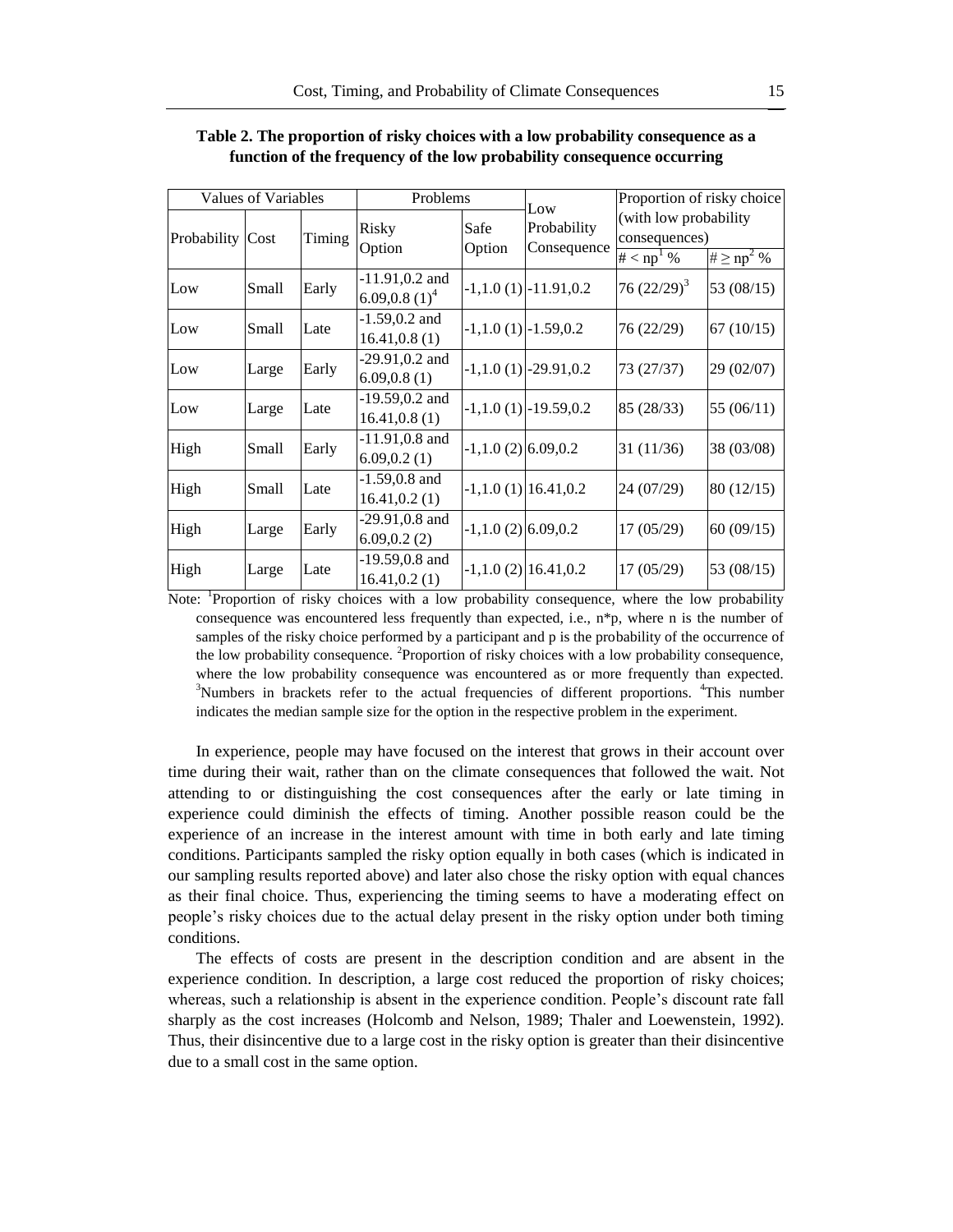| Values of Variables |       |        | Problems                              |                      | Low                        | Proportion of risky choice                |                                         |
|---------------------|-------|--------|---------------------------------------|----------------------|----------------------------|-------------------------------------------|-----------------------------------------|
| Probability Cost    |       | Timing | Risky<br>Option                       | Safe<br>Option       | Probability<br>Consequence | (with low probability)<br>consequences)   |                                         |
| Low                 | Small | Early  | $-11.91, 0.2$ and<br>$6.09, 0.8(1)^4$ |                      | $-1,1.0(1)$ $-11.91,0.2$   | # $<$ np <sup>1</sup> %<br>76 $(22/29)^3$ | # $\ge$ np <sup>2</sup> %<br>53 (08/15) |
| Low                 | Small | Late   | $-1.59, 0.2$ and<br>16.41, 0.8(1)     |                      | $-1,1.0(1)$ $-1.59,0.2$    | 76 (22/29)                                | 67(10/15)                               |
| Low                 | Large | Early  | $-29.91, 0.2$ and<br>6.09, 0.8(1)     |                      | $-1,1.0(1)$ $-29.91,0.2$   | 73 (27/37)                                | 29 (02/07)                              |
| Low                 | Large | Late   | $-19.59, 0.2$ and<br>16.41, 0.8(1)    |                      | $-1,1.0(1)$ $-19.59,0.2$   | 85 (28/33)                                | 55 $(06/11)$                            |
| High                | Small | Early  | $-11.91,0.8$ and<br>6.09, 0.2(1)      | $-1,1.0(2)$ 6.09,0.2 |                            | 31(11/36)                                 | 38 (03/08)                              |
| High                | Small | Late   | $-1.59, 0.8$ and<br>16.41, 0.2(1)     |                      | $-1,1.0(1)$ 16.41,0.2      | 24 (07/29)                                | 80(12/15)                               |
| High                | Large | Early  | $-29.91,0.8$ and<br>6.09, 0.2(2)      | $-1,1.0(2)$ 6.09,0.2 |                            | 17(05/29)                                 | 60(09/15)                               |
| High                | Large | Late   | $-19.59,0.8$ and<br>16.41, 0.2(1)     |                      | $-1,1.0(2)$ 16.41,0.2      | 17(05/29)                                 | 53 (08/15)                              |

**Table 2. The proportion of risky choices with a low probability consequence as a function of the frequency of the low probability consequence occurring**

Note: <sup>1</sup>Proportion of risky choices with a low probability consequence, where the low probability consequence was encountered less frequently than expected, i.e., n\*p, where n is the number of samples of the risky choice performed by a participant and p is the probability of the occurrence of the low probability consequence.  ${}^{2}$ Proportion of risky choices with a low probability consequence, where the low probability consequence was encountered as or more frequently than expected.  $3$ Numbers in brackets refer to the actual frequencies of different proportions.  $4$ This number indicates the median sample size for the option in the respective problem in the experiment.

In experience, people may have focused on the interest that grows in their account over time during their wait, rather than on the climate consequences that followed the wait. Not attending to or distinguishing the cost consequences after the early or late timing in experience could diminish the effects of timing. Another possible reason could be the experience of an increase in the interest amount with time in both early and late timing conditions. Participants sampled the risky option equally in both cases (which is indicated in our sampling results reported above) and later also chose the risky option with equal chances as their final choice. Thus, experiencing the timing seems to have a moderating effect on people's risky choices due to the actual delay present in the risky option under both timing conditions.

The effects of costs are present in the description condition and are absent in the experience condition. In description, a large cost reduced the proportion of risky choices; whereas, such a relationship is absent in the experience condition. People's discount rate fall sharply as the cost increases (Holcomb and Nelson, 1989; Thaler and Loewenstein, 1992). Thus, their disincentive due to a large cost in the risky option is greater than their disincentive due to a small cost in the same option.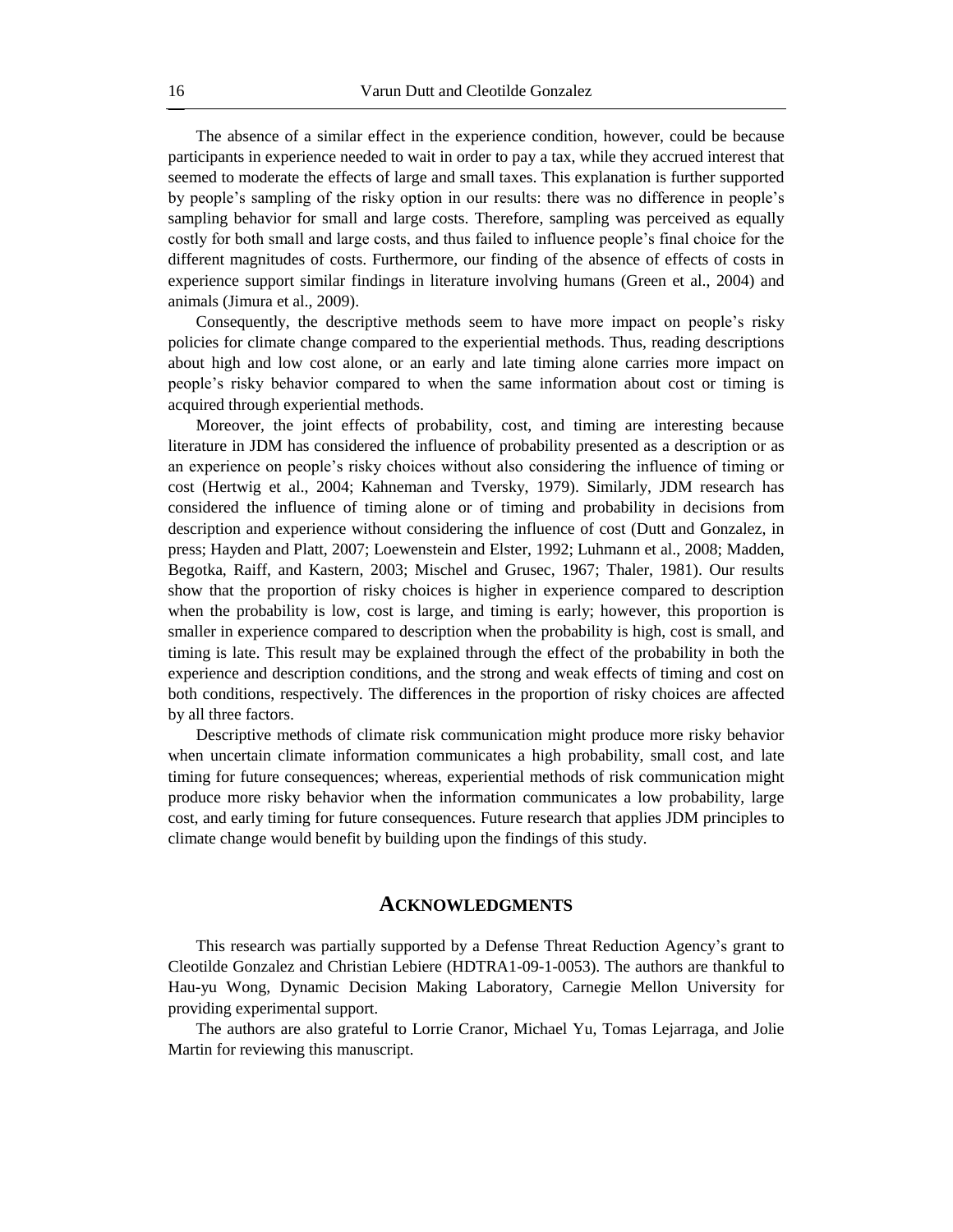The absence of a similar effect in the experience condition, however, could be because participants in experience needed to wait in order to pay a tax, while they accrued interest that seemed to moderate the effects of large and small taxes. This explanation is further supported by people's sampling of the risky option in our results: there was no difference in people's sampling behavior for small and large costs. Therefore, sampling was perceived as equally costly for both small and large costs, and thus failed to influence people's final choice for the different magnitudes of costs. Furthermore, our finding of the absence of effects of costs in experience support similar findings in literature involving humans (Green et al., 2004) and animals (Jimura et al., 2009).

Consequently, the descriptive methods seem to have more impact on people's risky policies for climate change compared to the experiential methods. Thus, reading descriptions about high and low cost alone, or an early and late timing alone carries more impact on people's risky behavior compared to when the same information about cost or timing is acquired through experiential methods.

Moreover, the joint effects of probability, cost, and timing are interesting because literature in JDM has considered the influence of probability presented as a description or as an experience on people's risky choices without also considering the influence of timing or cost (Hertwig et al., 2004; Kahneman and Tversky, 1979). Similarly, JDM research has considered the influence of timing alone or of timing and probability in decisions from description and experience without considering the influence of cost (Dutt and Gonzalez, in press; Hayden and Platt, 2007; Loewenstein and Elster, 1992; Luhmann et al., 2008; Madden, Begotka, Raiff, and Kastern, 2003; Mischel and Grusec, 1967; Thaler, 1981). Our results show that the proportion of risky choices is higher in experience compared to description when the probability is low, cost is large, and timing is early; however, this proportion is smaller in experience compared to description when the probability is high, cost is small, and timing is late. This result may be explained through the effect of the probability in both the experience and description conditions, and the strong and weak effects of timing and cost on both conditions, respectively. The differences in the proportion of risky choices are affected by all three factors.

Descriptive methods of climate risk communication might produce more risky behavior when uncertain climate information communicates a high probability, small cost, and late timing for future consequences; whereas, experiential methods of risk communication might produce more risky behavior when the information communicates a low probability, large cost, and early timing for future consequences. Future research that applies JDM principles to climate change would benefit by building upon the findings of this study.

### **ACKNOWLEDGMENTS**

This research was partially supported by a Defense Threat Reduction Agency's grant to Cleotilde Gonzalez and Christian Lebiere (HDTRA1-09-1-0053). The authors are thankful to Hau-yu Wong, Dynamic Decision Making Laboratory, Carnegie Mellon University for providing experimental support.

The authors are also grateful to Lorrie Cranor, Michael Yu, Tomas Lejarraga, and Jolie Martin for reviewing this manuscript.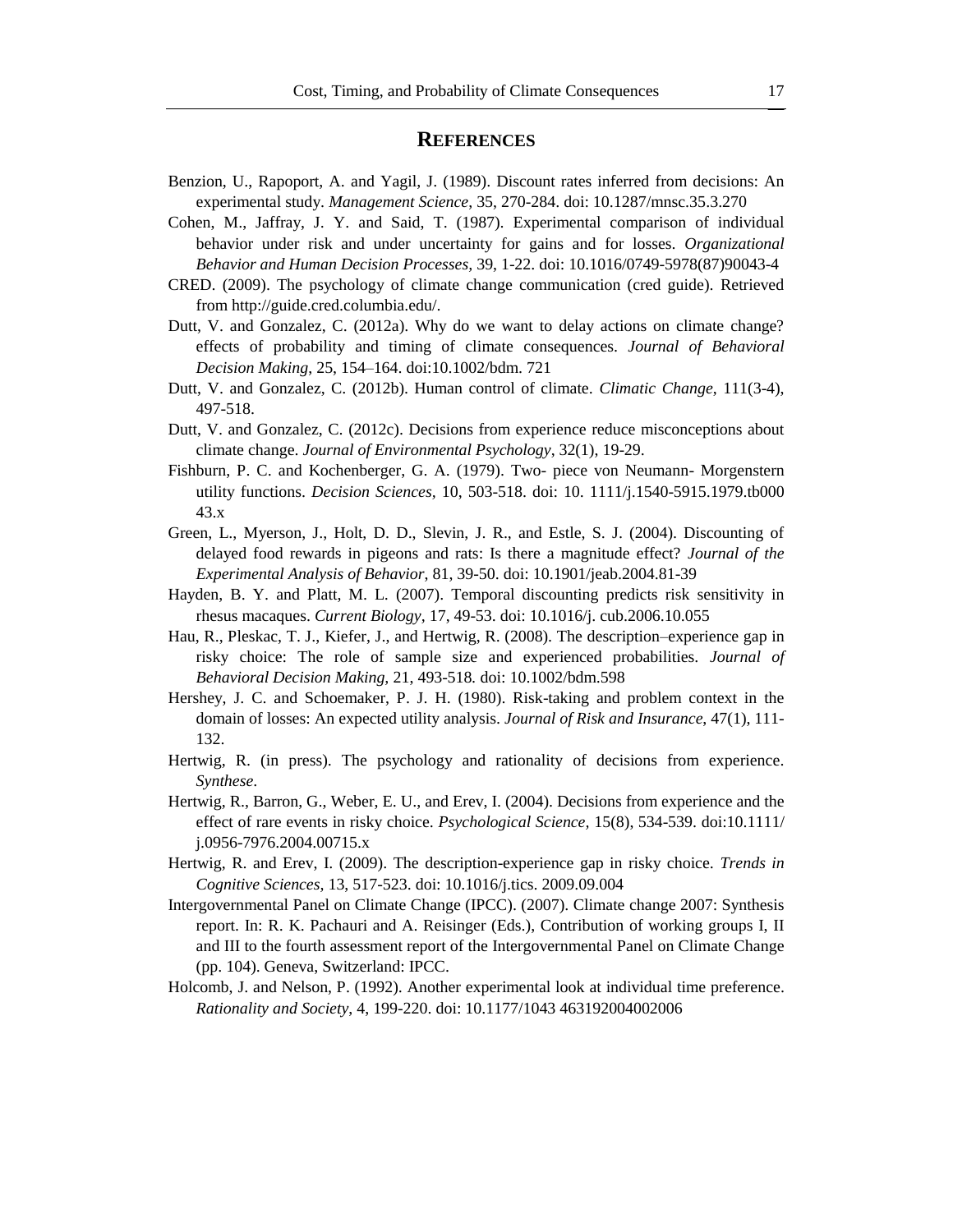## **REFERENCES**

- Benzion, U., Rapoport, A. and Yagil, J. (1989). Discount rates inferred from decisions: An experimental study. *Management Science*, 35, 270-284. doi: 10.1287/mnsc.35.3.270
- Cohen, M., Jaffray, J. Y. and Said, T. (1987). Experimental comparison of individual behavior under risk and under uncertainty for gains and for losses. *Organizational Behavior and Human Decision Processes,* 39, 1-22. doi: 10.1016/0749-5978(87)90043-4
- CRED. (2009). The psychology of climate change communication (cred guide). Retrieved from http://guide.cred.columbia.edu/.
- Dutt, V. and Gonzalez, C. (2012a). Why do we want to delay actions on climate change? effects of probability and timing of climate consequences. *Journal of Behavioral Decision Making*, 25, 154–164. doi:10.1002/bdm. 721
- Dutt, V. and Gonzalez, C. (2012b). Human control of climate. *Climatic Change*, 111(3-4), 497-518.
- Dutt, V. and Gonzalez, C. (2012c). Decisions from experience reduce misconceptions about climate change. *Journal of Environmental Psychology*, 32(1), 19-29.
- Fishburn, P. C. and Kochenberger, G. A. (1979). Two- piece von Neumann- Morgenstern utility functions. *Decision Sciences,* 10, 503-518. doi: 10. 1111/j.1540-5915.1979.tb000 43.x
- Green, L., Myerson, J., Holt, D. D., Slevin, J. R., and Estle, S. J. (2004). Discounting of delayed food rewards in pigeons and rats: Is there a magnitude effect? *Journal of the Experimental Analysis of Behavior*, 81, 39-50. doi: 10.1901/jeab.2004.81-39
- Hayden, B. Y. and Platt, M. L. (2007). Temporal discounting predicts risk sensitivity in rhesus macaques. *Current Biology,* 17, 49-53. doi: 10.1016/j. cub.2006.10.055
- Hau, R., Pleskac, T. J., Kiefer, J., and Hertwig, R. (2008). The description–experience gap in risky choice: The role of sample size and experienced probabilities. *Journal of Behavioral Decision Making,* 21, 493-518*.* doi: 10.1002/bdm.598
- Hershey, J. C. and Schoemaker, P. J. H. (1980). Risk-taking and problem context in the domain of losses: An expected utility analysis. *Journal of Risk and Insurance*, 47(1), 111- 132.
- Hertwig, R. (in press). The psychology and rationality of decisions from experience. *Synthese*.
- Hertwig, R., Barron, G., Weber, E. U., and Erev, I. (2004). Decisions from experience and the effect of rare events in risky choice. *Psychological Science,* 15(8), 534-539. doi:10.1111/ j.0956-7976.2004.00715.x
- Hertwig, R. and Erev, I. (2009). The description-experience gap in risky choice. *Trends in Cognitive Sciences,* 13, 517-523. doi: 10.1016/j.tics. 2009.09.004
- Intergovernmental Panel on Climate Change (IPCC). (2007). Climate change 2007: Synthesis report. In: R. K. Pachauri and A. Reisinger (Eds.), Contribution of working groups I, II and III to the fourth assessment report of the Intergovernmental Panel on Climate Change (pp. 104). Geneva, Switzerland: IPCC.
- Holcomb, J. and Nelson, P. (1992). Another experimental look at individual time preference. *Rationality and Society*, 4, 199-220. doi: 10.1177/1043 463192004002006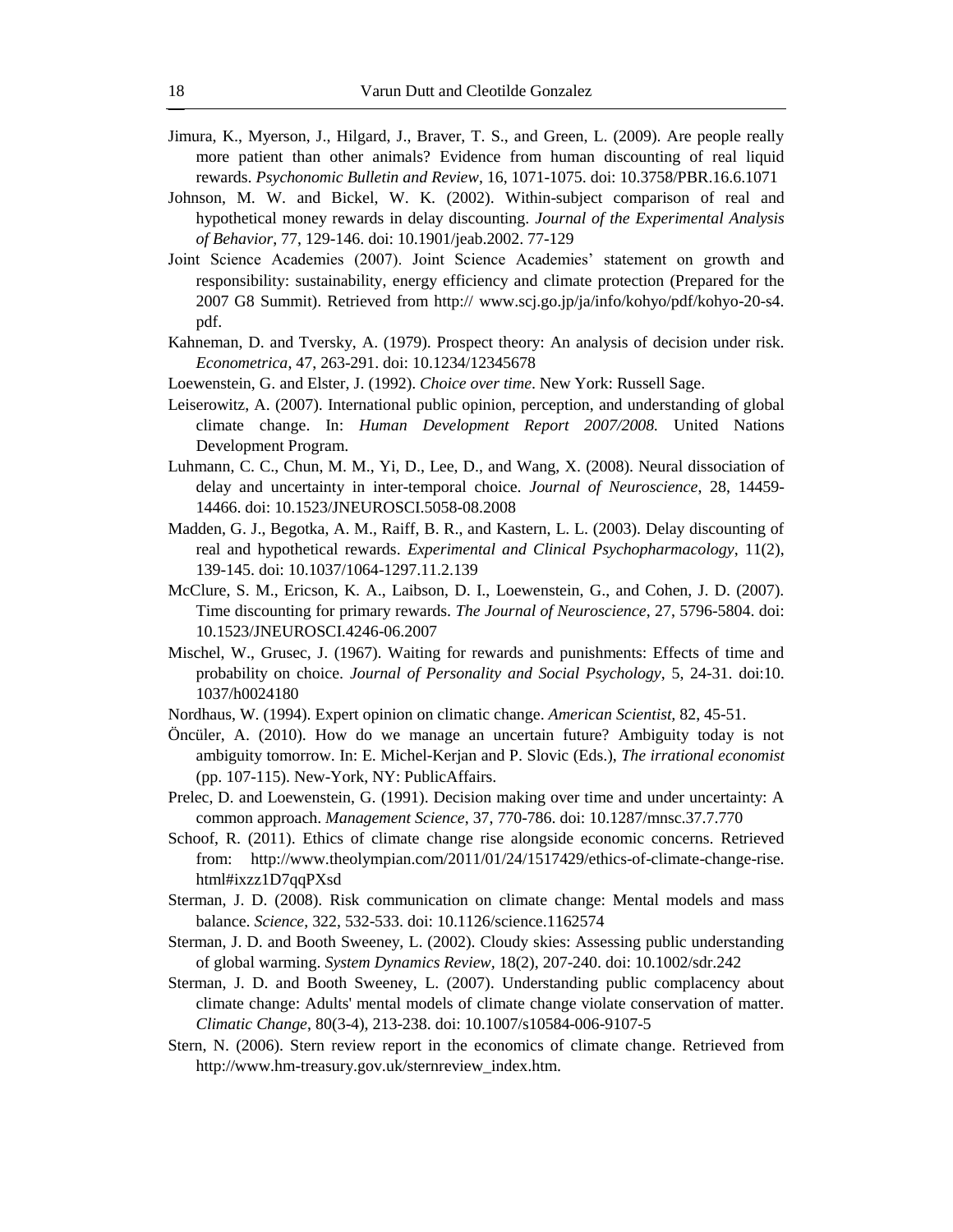- Jimura, K., Myerson, J., Hilgard, J., Braver, T. S., and Green, L. (2009). Are people really more patient than other animals? Evidence from human discounting of real liquid rewards. *Psychonomic Bulletin and Review*, 16, 1071-1075. doi: 10.3758/PBR.16.6.1071
- Johnson, M. W. and Bickel, W. K. (2002). Within-subject comparison of real and hypothetical money rewards in delay discounting. *Journal of the Experimental Analysis of Behavior*, 77, 129-146. doi: 10.1901/jeab.2002. 77-129
- Joint Science Academies (2007). Joint Science Academies' statement on growth and responsibility: sustainability, energy efficiency and climate protection (Prepared for the 2007 G8 Summit). Retrieved from http:// www.scj.go.jp/ja/info/kohyo/pdf/kohyo-20-s4. pdf.
- Kahneman, D. and Tversky, A. (1979). Prospect theory: An analysis of decision under risk. *Econometrica*, 47, 263-291. doi: 10.1234/12345678
- Loewenstein, G. and Elster, J. (1992). *Choice over time*. New York: Russell Sage.
- Leiserowitz, A. (2007). International public opinion, perception, and understanding of global climate change. In: *Human Development Report 2007/2008.* United Nations Development Program.
- Luhmann, C. C., Chun, M. M., Yi, D., Lee, D., and Wang, X. (2008). Neural dissociation of delay and uncertainty in inter-temporal choice. *Journal of Neuroscience*, 28, 14459- 14466. doi: 10.1523/JNEUROSCI.5058-08.2008
- Madden, G. J., Begotka, A. M., Raiff, B. R., and Kastern, L. L. (2003). Delay discounting of real and hypothetical rewards. *Experimental and Clinical Psychopharmacology*, 11(2), 139-145. doi: 10.1037/1064-1297.11.2.139
- McClure, S. M., Ericson, K. A., Laibson, D. I., Loewenstein, G., and Cohen, J. D. (2007). Time discounting for primary rewards. *The Journal of Neuroscience*, 27, 5796-5804. doi: 10.1523/JNEUROSCI.4246-06.2007
- Mischel, W., Grusec, J. (1967). Waiting for rewards and punishments: Effects of time and probability on choice. *Journal of Personality and Social Psychology*, 5, 24-31. doi:10. 1037/h0024180
- Nordhaus, W. (1994). Expert opinion on climatic change. *American Scientist,* 82, 45-51.
- Öncüler, A. (2010). How do we manage an uncertain future? Ambiguity today is not ambiguity tomorrow. In: E. Michel-Kerjan and P. Slovic (Eds.), *The irrational economist* (pp. 107-115). New-York, NY: PublicAffairs.
- Prelec, D. and Loewenstein, G. (1991). Decision making over time and under uncertainty: A common approach. *Management Science*, 37, 770-786. doi: 10.1287/mnsc.37.7.770
- Schoof, R. (2011). Ethics of climate change rise alongside economic concerns. Retrieved from: http://www.theolympian.com/2011/01/24/1517429/ethics-of-climate-change-rise. html#ixzz1D7qqPXsd
- Sterman, J. D. (2008). Risk communication on climate change: Mental models and mass balance. *Science*, 322, 532-533. doi: 10.1126/science.1162574
- Sterman, J. D. and Booth Sweeney, L. (2002). Cloudy skies: Assessing public understanding of global warming. *System Dynamics Review,* 18(2), 207-240. doi: 10.1002/sdr.242
- Sterman, J. D. and Booth Sweeney, L. (2007). Understanding public complacency about climate change: Adults' mental models of climate change violate conservation of matter. *Climatic Change*, 80(3-4), 213-238. doi: 10.1007/s10584-006-9107-5
- Stern, N. (2006). Stern review report in the economics of climate change. Retrieved from http://www.hm-treasury.gov.uk/sternreview\_index.htm.